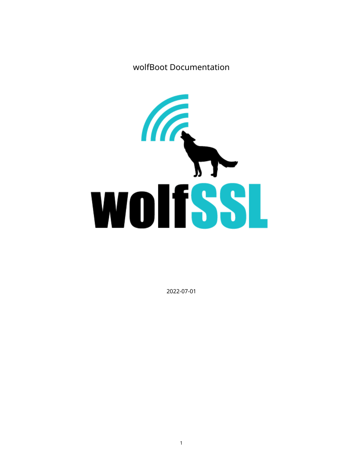wolfBoot Documentation



2022-07-01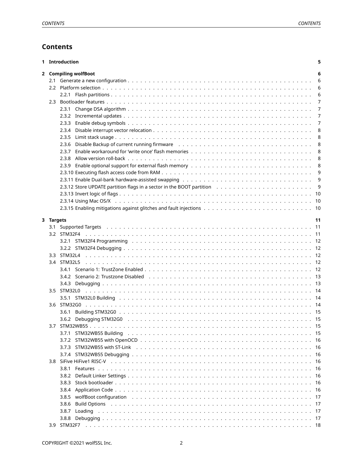# **Contents**

|           | 1 Introduction                                                                                                                                                                                                                          | 5  |
|-----------|-----------------------------------------------------------------------------------------------------------------------------------------------------------------------------------------------------------------------------------------|----|
|           | 2 Compiling wolfBoot                                                                                                                                                                                                                    | 6  |
|           |                                                                                                                                                                                                                                         | 6  |
|           |                                                                                                                                                                                                                                         | 6  |
|           |                                                                                                                                                                                                                                         | 6  |
|           |                                                                                                                                                                                                                                         | 7  |
|           | 2.3.1                                                                                                                                                                                                                                   | 7  |
|           |                                                                                                                                                                                                                                         | 7  |
|           |                                                                                                                                                                                                                                         | 7  |
|           |                                                                                                                                                                                                                                         | 8  |
|           |                                                                                                                                                                                                                                         | 8  |
|           |                                                                                                                                                                                                                                         |    |
|           |                                                                                                                                                                                                                                         | 8  |
|           | 2.3.7                                                                                                                                                                                                                                   | 8  |
|           | 2.3.8                                                                                                                                                                                                                                   | 8  |
|           |                                                                                                                                                                                                                                         | 8  |
|           |                                                                                                                                                                                                                                         | 9  |
|           |                                                                                                                                                                                                                                         | 9  |
|           |                                                                                                                                                                                                                                         | 9  |
|           |                                                                                                                                                                                                                                         |    |
|           |                                                                                                                                                                                                                                         |    |
|           |                                                                                                                                                                                                                                         |    |
|           |                                                                                                                                                                                                                                         |    |
| 3 Targets |                                                                                                                                                                                                                                         | 11 |
|           |                                                                                                                                                                                                                                         |    |
|           |                                                                                                                                                                                                                                         |    |
|           |                                                                                                                                                                                                                                         |    |
|           |                                                                                                                                                                                                                                         |    |
|           |                                                                                                                                                                                                                                         |    |
|           |                                                                                                                                                                                                                                         |    |
|           |                                                                                                                                                                                                                                         |    |
|           |                                                                                                                                                                                                                                         |    |
|           |                                                                                                                                                                                                                                         |    |
|           |                                                                                                                                                                                                                                         |    |
|           |                                                                                                                                                                                                                                         |    |
| 3.6       |                                                                                                                                                                                                                                         |    |
|           |                                                                                                                                                                                                                                         |    |
|           |                                                                                                                                                                                                                                         |    |
| 3.7       |                                                                                                                                                                                                                                         |    |
|           | 3.7.1                                                                                                                                                                                                                                   |    |
|           |                                                                                                                                                                                                                                         |    |
|           |                                                                                                                                                                                                                                         |    |
|           |                                                                                                                                                                                                                                         |    |
|           |                                                                                                                                                                                                                                         |    |
|           |                                                                                                                                                                                                                                         |    |
|           | 3.8.1                                                                                                                                                                                                                                   |    |
|           | 3.8.2                                                                                                                                                                                                                                   |    |
|           | 3.8.3                                                                                                                                                                                                                                   |    |
|           | 3.8.4                                                                                                                                                                                                                                   |    |
|           | wolfBoot configuration education by the control of the control of the control of the control of the control of the control of the control of the control of the control of the control of the control of the control of the co<br>3.8.5 |    |
|           | 3.8.6                                                                                                                                                                                                                                   |    |
|           | 3.8.7                                                                                                                                                                                                                                   |    |
|           |                                                                                                                                                                                                                                         |    |
|           |                                                                                                                                                                                                                                         |    |
|           |                                                                                                                                                                                                                                         |    |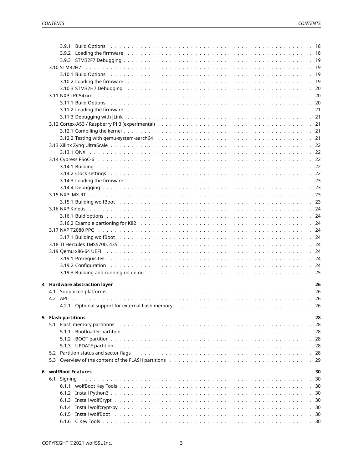|   |     | 3.9.2 Loading the firmware entertainment of the contract of the contract of the contract of the contract of the contract of the first of the first of the first of the first of the first of the first of the first of the fir |      |
|---|-----|--------------------------------------------------------------------------------------------------------------------------------------------------------------------------------------------------------------------------------|------|
|   |     |                                                                                                                                                                                                                                |      |
|   |     |                                                                                                                                                                                                                                |      |
|   |     | 3.10.1 Build Options (assessment of the contract of the contract of the contract of the contract of the contract of the contract of the contract of the contract of the contract of the contract of the contract of the contra |      |
|   |     | 3.10.2 Loading the firmware enterpresent contact to contact the contract of the contract of the contract of the contract of the firmula of the firmula of the contract of the contract of the contract of the contract of the  |      |
|   |     |                                                                                                                                                                                                                                |      |
|   |     |                                                                                                                                                                                                                                |      |
|   |     |                                                                                                                                                                                                                                |      |
|   |     |                                                                                                                                                                                                                                |      |
|   |     | 3.11.2 Loading the firmware enterpresent contact to contact the contact of the contact of the contact of the contact of the firmula $21$                                                                                       |      |
|   |     | 3.11.3 Debugging with JLink (a) and a control of the control of the control of the control of the control of the control of the control of the control of the control of the control of the control of the control of the cont |      |
|   |     |                                                                                                                                                                                                                                |      |
|   |     |                                                                                                                                                                                                                                |      |
|   |     |                                                                                                                                                                                                                                |      |
|   |     |                                                                                                                                                                                                                                |      |
|   |     |                                                                                                                                                                                                                                |      |
|   |     |                                                                                                                                                                                                                                |      |
|   |     |                                                                                                                                                                                                                                |      |
|   |     | 3.14.2 Clock settings (and all and all and all and all and all and all and all and all and all and all and all a                                                                                                               |      |
|   |     | 3.14.3 Loading the firmware enterpresent contact to contact the contract of the contract of the contract of the contract of the first of the first of the first of the first of the first of the first of the first of the fir |      |
|   |     |                                                                                                                                                                                                                                |      |
|   |     |                                                                                                                                                                                                                                |      |
|   |     |                                                                                                                                                                                                                                |      |
|   |     |                                                                                                                                                                                                                                |      |
|   |     |                                                                                                                                                                                                                                |      |
|   |     |                                                                                                                                                                                                                                |      |
|   |     |                                                                                                                                                                                                                                |      |
|   |     |                                                                                                                                                                                                                                |      |
|   |     |                                                                                                                                                                                                                                |      |
|   |     |                                                                                                                                                                                                                                |      |
|   |     |                                                                                                                                                                                                                                |      |
|   |     |                                                                                                                                                                                                                                |      |
|   |     |                                                                                                                                                                                                                                |      |
|   |     |                                                                                                                                                                                                                                |      |
|   |     |                                                                                                                                                                                                                                |      |
|   |     | 4 Hardware abstraction layer                                                                                                                                                                                                   | 26   |
|   |     |                                                                                                                                                                                                                                |      |
|   |     |                                                                                                                                                                                                                                |      |
|   |     |                                                                                                                                                                                                                                |      |
|   |     |                                                                                                                                                                                                                                |      |
|   |     | 5 Flash partitions                                                                                                                                                                                                             | 28   |
|   |     | 5.1 Flash memory partitions entitlerance and the contract of the contract of the contract of the contract of the contract of the contract of the contract of the contract of the contract of the contract of the contract of t | 28   |
|   |     | 5.1.1                                                                                                                                                                                                                          |      |
|   |     |                                                                                                                                                                                                                                | 28   |
|   |     |                                                                                                                                                                                                                                | -28  |
|   |     | 5.2 Partition status and sector flags enterpreent contained and contained and contained and contained and sector                                                                                                               | -28  |
|   |     | 5.3 Overview of the content of the FLASH partitions enters and service and service and service of the content                                                                                                                  | - 29 |
|   |     |                                                                                                                                                                                                                                |      |
| 6 |     | wolfBoot Features                                                                                                                                                                                                              | 30   |
|   | 6.1 |                                                                                                                                                                                                                                | -30  |
|   |     |                                                                                                                                                                                                                                |      |
|   |     |                                                                                                                                                                                                                                |      |
|   |     |                                                                                                                                                                                                                                |      |
|   |     |                                                                                                                                                                                                                                |      |
|   |     |                                                                                                                                                                                                                                |      |
|   |     |                                                                                                                                                                                                                                |      |
|   |     |                                                                                                                                                                                                                                |      |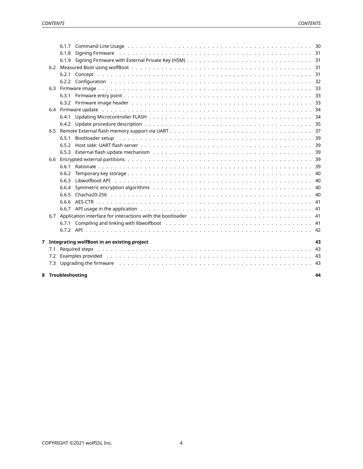<span id="page-3-0"></span>

| 8 |     | Troubleshooting                                                                                                                                                                                                                | 44 |
|---|-----|--------------------------------------------------------------------------------------------------------------------------------------------------------------------------------------------------------------------------------|----|
|   |     | 7.3 Upgrading the firmware education of the contract of the contract of the contract of the contract of the contract of the contract of the contract of the contract of the contract of the contract of the contract of the co |    |
|   | 7.2 | Examples provided responses in the set of the set of the set of the set of the set of the set of the set of the set of the set of the set of the set of the set of the set of the set of the set of the set of the set of the  |    |
|   | 7.1 |                                                                                                                                                                                                                                |    |
|   |     | 7 Integrating wolfBoot in an existing project                                                                                                                                                                                  | 43 |
|   |     |                                                                                                                                                                                                                                |    |
|   |     |                                                                                                                                                                                                                                |    |
|   |     |                                                                                                                                                                                                                                |    |
|   |     |                                                                                                                                                                                                                                |    |
|   |     |                                                                                                                                                                                                                                |    |
|   |     | 6.6.5                                                                                                                                                                                                                          |    |
|   |     | 6.6.4                                                                                                                                                                                                                          |    |
|   |     | 6.6.3                                                                                                                                                                                                                          |    |
|   |     | 6.6.2                                                                                                                                                                                                                          |    |
|   |     | 6.6.1                                                                                                                                                                                                                          |    |
|   |     |                                                                                                                                                                                                                                |    |
|   |     | 6.5.3                                                                                                                                                                                                                          |    |
|   |     | 6.5.2                                                                                                                                                                                                                          |    |
|   |     | Bootloader setup $\ldots \ldots \ldots$<br>6.5.1                                                                                                                                                                               |    |
|   |     |                                                                                                                                                                                                                                |    |
|   |     |                                                                                                                                                                                                                                |    |
|   |     | 6.4.1                                                                                                                                                                                                                          |    |
|   |     |                                                                                                                                                                                                                                |    |
|   |     |                                                                                                                                                                                                                                |    |
|   |     |                                                                                                                                                                                                                                |    |
|   |     |                                                                                                                                                                                                                                |    |
|   |     |                                                                                                                                                                                                                                |    |
|   |     | 6.2.1                                                                                                                                                                                                                          |    |
|   |     |                                                                                                                                                                                                                                |    |
|   |     | 6.1.8                                                                                                                                                                                                                          |    |
|   |     |                                                                                                                                                                                                                                |    |
|   |     |                                                                                                                                                                                                                                |    |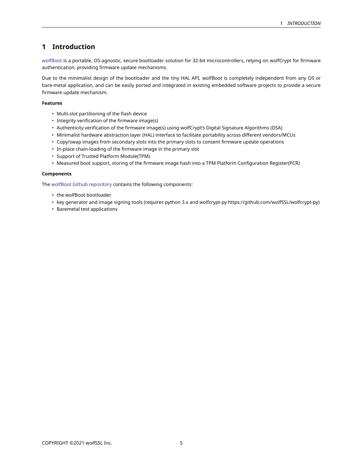# **1 Introduction**

[wolfBoot](https://www.wolfssl.com/products/wolfboot/) is a portable, OS-agnostic, secure bootloader solution for 32-bit microcontrollers, relying on wolfCrypt for firmware authentication, providing firmware update mechanisms.

Due to the minimalist design of the bootloader and the tiny HAL API, wolfBoot is completely independent from any OS or bare-metal application, and can be easily ported and integrated in existing embedded software projects to provide a secure firmware update mechanism.

## **Features**

- Multi-slot partitioning of the flash device
- Integrity verification of the firmware image(s)
- Authenticity verification of the firmware image(s) using wolfCrypt's Digital Signature Algorithms (DSA)
- Minimalist hardware abstraction layer (HAL) interface to facilitate portability across different vendors/MCUs
- Copy/swap images from secondary slots into the primary slots to consent firmware update operations
- In-place chain-loading of the firmware image in the primary slot
- Support of Trusted Platform Module(TPM)
- Measured boot support, storing of the firmware image hash into a TPM Platform Configuration Register(PCR)

#### **Components**

The [wolfBoot Github repository](https://github.com/wolfSSL/wolfBoot) contains the following components:

- the wolfBoot bootloader
- key generator and image signing tools (requires python 3.x and wolfcrypt-py https://github.com/wolfSSL/wolfcrypt-py)
- <span id="page-4-0"></span>• Baremetal test applications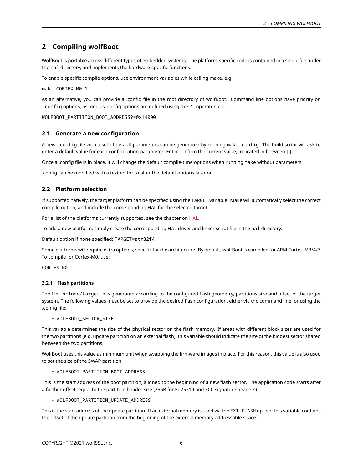# **2 Compiling wolfBoot**

WolfBoot is portable across different types of embedded systems. The platform-specific code is contained in a single file under the hal directory, and implements the hardware-specific functions.

To enable specific compile options, use environment variables while calling make, e.g.

make CORTEX\_M0=1

As an alternative, you can provide a .config file in the root directory of wolfBoot. Command line options have priority on .config options, as long as .config options are defined using the ?= operator, e.g.:

<span id="page-5-0"></span>WOLFBOOT\_PARTITION\_BOOT\_ADDRESS?=0x14000

## **2.1 Generate a new configuration**

A new .config file with a set of default parameters can be generated by running make config. The build script will ask to enter a default value for each configuration parameter. Enter confirm the current value, indicated in between [].

Once a .config file is in place, it will change the default compile-time options when running make without parameters.

<span id="page-5-1"></span>.config can be modified with a text editor to alter the default options later on.

## **2.2 Platform selection**

If supported natively, the target platform can be specified using the TARGET variable. Make will automatically select the correct compile option, and include the corresponding HAL for the selected target.

For a list of the platforms currently supported, see the chapter on [HAL](#page-24-0).

To add a new platform, simply create the corresponding HAL driver and linker script file in the hal directory.

Default option if none specified: TARGET=stm32f4

Some platforms will require extra options, specific for the architecture. By default, wolfBoot is compiled for ARM Cortex-M3/4/7. To compile for Cortex-M0, use:

<span id="page-5-2"></span>CORTEX\_M0=1

## **2.2.1 Flash partitions**

The file include/target.h is generated according to the configured flash geometry, partitions size and offset of the target system. The following values must be set to provide the desired flash configuration, either via the command line, or using the .config file:

• WOLFBOOT SECTOR SIZE

This variable determines the size of the physical sector on the flash memory. If areas with different block sizes are used for the two partitions (e.g. update partition on an external flash), this variable should indicate the size of the biggest sector shared between the two partitions.

WolfBoot uses this value as minimum unit when swapping the firmware images in place. For this reason, this value is also used to set the size of the SWAP partition.

• WOLFBOOT\_PARTITION\_BOOT\_ADDRESS

This is the start address of the boot partition, aligned to the beginning of a new flash sector. The application code starts after a further offset, equal to the partition header size (256B for Ed25519 and ECC signature headers).

• WOLFBOOT\_PARTITION\_UPDATE\_ADDRESS

This is the start address of the update partition. If an external memory is used via the EXT\_FLASH option, this variable contains the offset of the update partition from the beginning of the external memory addressable space.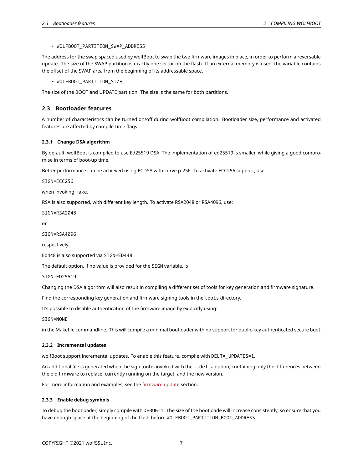### • WOLFBOOT\_PARTITION\_SWAP\_ADDRESS

The address for the swap spaced used by wolfBoot to swap the two firmware images in place, in order to perform a reversable update. The size of the SWAP partition is exactly one sector on the flash. If an external memory is used, the variable contains the offset of the SWAP area from the beginning of its addressable space.

• WOLFBOOT PARTITION SIZE

<span id="page-6-0"></span>The size of the BOOT and UPDATE partition. The size is the same for both partitions.

## **2.3 Bootloader features**

A number of characteristics can be turned on/off during wolfBoot compilation. Bootloader size, performance and activated features are affected by compile-time flags.

#### <span id="page-6-1"></span>**2.3.1 Change DSA algorithm**

By default, wolfBoot is compiled to use Ed25519 DSA. The implementation of ed25519 is smaller, while giving a good compromise in terms of boot-up time.

Better performance can be achieved using ECDSA with curve p-256. To activate ECC256 support, use

SIGN=ECC256

when invoking make.

RSA is also supported, with different key length. To activate RSA2048 or RSA4096, use:

SIGN=RSA2048

or

SIGN=RSA4096

respectively.

Ed448 is also supported via SIGN=ED448.

The default option, if no value is provided for the SIGN variable, is

SIGN=ED25519

Changing the DSA algorithm will also result in compiling a different set of tools for key generation and firmware signature.

Find the corresponding key generation and firmware signing tools in the tools directory.

It's possible to disable authentication of the firmware image by explicitly using:

SIGN=NONE

<span id="page-6-2"></span>in the Makefile commandline. This will compile a minimal bootloader with no support for public-key authenticated secure boot.

#### **2.3.2 Incremental updates**

wolfBoot support incremental updates. To enable this feature, compile with DELTA\_UPDATES=1.

An additional file is generated when the sign tool is invoked with the --delta option, containing only the differences between the old firmware to replace, currently running on the target, and the new version.

<span id="page-6-3"></span>For more information and examples, see the [firmware update](#page-33-0) section.

#### **2.3.3 Enable debug symbols**

<span id="page-6-4"></span>To debug the bootloader, simply compile with DEBUG=1. The size of the bootloade will increase consistently, so ensure that you have enough space at the beginning of the flash before WOLFBOOT\_PARTITION\_BOOT\_ADDRESS.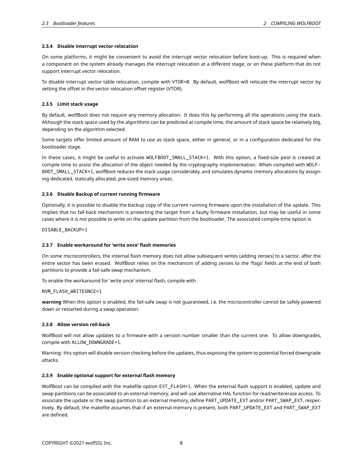### **2.3.4 Disable interrupt vector relocation**

On some platforms, it might be convenient to avoid the interrupt vector relocation before boot-up. This is required when a component on the system already manages the interrupt relocation at a different stage, or on these platform that do not support interrupt vector relocation.

To disable interrupt vector table relocation, compile with VTOR=0. By default, wolfBoot will relocate the interrupt vector by setting the offset in the vector relocation offset register (VTOR).

## <span id="page-7-0"></span>**2.3.5 Limit stack usage**

By default, wolfBoot does not require any memory allocation. It does this by performing all the operations using the stack. Although the stack space used by the algorithms can be predicted at compile time, the amount of stack space be relatively big, depending on the algorithm selected.

Some targets offer limited amount of RAM to use as stack space, either in general, or in a configuration dedicated for the bootloader stage.

In these cases, it might be useful to activate WOLFBOOT\_SMALL\_STACK=1. With this option, a fixed-size pool is created at compile time to assist the allocation of the object needed by the cryptography implementation. When compiled with WOLF-BOOT\_SMALL\_STACK=1, wolfBoot reduces the stack usage considerably, and simulates dynamic memory allocations by assigning dedicated, statically allocated, pre-sized memory areas.

## <span id="page-7-1"></span>**2.3.6 Disable Backup of current running firmware**

Optionally, it is possible to disable the backup copy of the current running firmware upon the installation of the update. This implies that no fall-back mechanism is protecting the target from a faulty firmware installation, but may be useful in some cases where it is not possible to write on the update partition from the bootloader. The associated compile-time option is

<span id="page-7-2"></span>DISABLE\_BACKUP=1

#### **2.3.7 Enable workaround for 'write once' flash memories**

On some microcontrollers, the internal flash memory does not allow subsequent writes (adding zeroes) to a sector, after the entire sector has been erased. WolfBoot relies on the mechanism of adding zeroes to the 'flags' fields at the end of both partitions to provide a fail-safe swap mechanism.

To enable the workaround for 'write once' internal flash, compile with

#### NVM\_FLASH\_WRITEONCE=1

**warning** When this option is enabled, the fail-safe swap is not guaranteed, i.e. the microcontroller cannot be safely powered down or restarted during a swap operation.

#### <span id="page-7-3"></span>**2.3.8 Allow version roll-back**

WolfBoot will not allow updates to a firmware with a version number smaller than the current one. To allow downgrades, compile with ALLOW\_DOWNGRADE=1.

<span id="page-7-4"></span>Warning: this option will disable version checking before the updates, thus exposing the system to potential forced downgrade attacks.

#### **2.3.9 Enable optional support for external flash memory**

WolfBoot can be compiled with the makefile option EXT\_FLASH=1. When the external flash support is enabled, update and swap partitions can be associated to an external memory, and will use alternative HAL function for read/write/erase access. To associate the update or the swap partition to an external memory, define PART\_UPDATE\_EXT and/or PART\_SWAP\_EXT, respectively. By default, the makefile assumes that if an external memory is present, both PART\_UPDATE\_EXT and PART\_SWAP\_EXT are defined.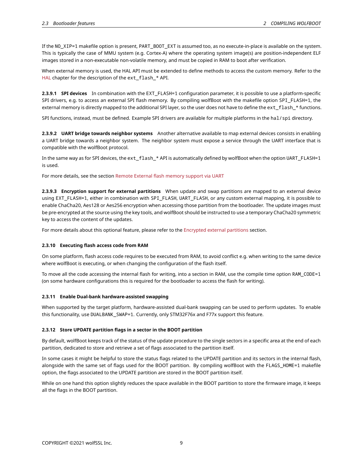If the NO\_XIP=1 makefile option is present, PART\_BOOT\_EXT is assumed too, as no execute-in-place is available on the system. This is typically the case of MMU system (e.g. Cortex-A) where the operating system image(s) are position-independent ELF images stored in a non-executable non-volatile memory, and must be copied in RAM to boot after verification.

When external memory is used, the HAL API must be extended to define methods to access the custom memory. Refer to the [HAL](#page-24-0) chapter for the description of the ext\_flash\_\* API.

**2.3.9.1 SPI devices** In combination with the EXT\_FLASH=1 configuration parameter, it is possible to use a platform-specific SPI drivers, e.g. to access an external SPI flash memory. By compiling wolfBoot with the makefile option SPI\_FLASH=1, the external memory is directly mapped to the additional SPI layer, so the user does not have to define the ext\_flash\_\* functions.

SPI functions, instead, must be defined. Example SPI drivers are available for multiple platforms in the hal/spi directory.

**2.3.9.2 UART bridge towards neighbor systems** Another alternative available to map external devices consists in enabling a UART bridge towards a neighbor system. The neighbor system must expose a service through the UART interface that is compatible with the wolfBoot protocol.

In the same way as for SPI devices, the ext\_flash\_\* API is automatically defined by wolfBoot when the option UART\_FLASH=1 is used.

For more details, see the section [Remote External flash memory support via UART](#page-36-0)

**2.3.9.3 Encryption support for external partitions** When update and swap partitions are mapped to an external device using EXT\_FLASH=1, either in combination with SPI\_FLASH, UART\_FLASH, or any custom external mapping, it is possible to enable ChaCha20, Aes128 or Aes256 encryption when accessing those partition from the bootloader. The update images must be pre-encrypted at the source using the key tools, and wolfBoot should be instructed to use a temporary ChaCha20 symmetric key to access the content of the updates.

<span id="page-8-0"></span>For more details about this optional feature, please refer to the [Encrypted external partitions](#page-38-2) section.

## **2.3.10 Executing flash access code from RAM**

On some platform, flash access code requires to be executed from RAM, to avoid conflict e.g. when writing to the same device where wolfBoot is executing, or when changing the configuration of the flash itself.

To move all the code accessing the internal flash for writing, into a section in RAM, use the compile time option RAM\_CODE=1 (on some hardware configurations this is required for the bootloader to access the flash for writing).

#### <span id="page-8-1"></span>**2.3.11 Enable Dual-bank hardware-assisted swapping**

When supported by the target platform, hardware-assisted dual-bank swapping can be used to perform updates. To enable this functionality, use DUALBANK\_SWAP=1. Currently, only STM32F76x and F77x support this feature.

## <span id="page-8-2"></span>**2.3.12 Store UPDATE partition flags in a sector in the BOOT partition**

By default, wolfBoot keeps track of the status of the update procedure to the single sectors in a specific area at the end of each partition, dedicated to store and retrieve a set of flags associated to the partition itself.

In some cases it might be helpful to store the status flags related to the UPDATE partition and its sectors in the internal flash, alongside with the same set of flags used for the BOOT partition. By compiling wolfBoot with the FLAGS\_HOME=1 makefile option, the flags associated to the UPDATE partition are stored in the BOOT partition itself.

<span id="page-8-3"></span>While on one hand this option slightly reduces the space available in the BOOT partition to store the firmware image, it keeps all the flags in the BOOT partition.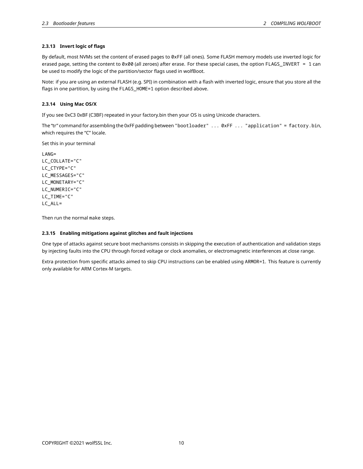## **2.3.13 Invert logic of flags**

By default, most NVMs set the content of erased pages to 0xFF (all ones). Some FLASH memory models use inverted logic for erased page, setting the content to 0x00 (all zeroes) after erase. For these special cases, the option FLAGS\_INVERT = 1 can be used to modify the logic of the partition/sector flags used in wolfBoot.

Note: if you are using an external FLASH (e.g. SPI) in combination with a flash with inverted logic, ensure that you store all the flags in one partition, by using the FLAGS\_HOME=1 option described above.

## <span id="page-9-0"></span>**2.3.14 Using Mac OS/X**

If you see 0xC3 0xBF (C3BF) repeated in your factory.bin then your OS is using Unicode characters.

The "tr" command for assembling the 0xFF padding between "bootloader" ... 0xFF ... "application" = factory.bin, which requires the "C" locale.

Set this in your terminal

LANG= LC\_COLLATE="C" LC\_CTYPE="C" LC\_MESSAGES="C" LC\_MONETARY="C" LC\_NUMERIC="C" LC\_TIME="C" LC\_ALL=

<span id="page-9-1"></span>Then run the normal make steps.

## **2.3.15 Enabling mitigations against glitches and fault injections**

One type of attacks against secure boot mechanisms consists in skipping the execution of authentication and validation steps by injecting faults into the CPU through forced voltage or clock anomalies, or electromagnetic interferences at close range.

<span id="page-9-2"></span>Extra protection from specific attacks aimed to skip CPU instructions can be enabled using ARMOR=1. This feature is currently only available for ARM Cortex-M targets.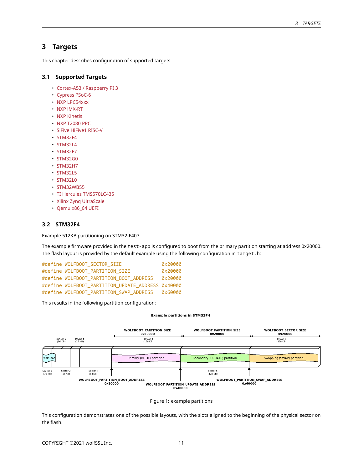## **3 Targets**

<span id="page-10-0"></span>This chapter describes configuration of supported targets.

## **3.1 Supported Targets**

- Cortex-A53 / Raspberry PI 3
- [Cypress PSoC-6](#page-21-1)
- [NXP LPC54xxx](#page-19-1)
- [NXP iMX-RT](#page-22-2)
- [NXP Kinetis](#page-23-0)
- [NXP T2080 PPC](#page-23-3)
- [SiFive HiFive1 RISC-V](#page-15-2)
- [STM32F4](#page-10-1)
- [STM32L4](#page-11-2)
- [STM32F7](#page-16-3)
- [STM32G0](#page-13-2)
- [STM32H7](#page-18-1)
- [STM32L5](#page-11-3)
- [STM32L0](#page-13-0)
- [STM32WB55](#page-14-1)
- [TI Hercules TMS570LC435](#page-23-5)
- [Xilinx Zynq UltraScale](#page-20-4)
- <span id="page-10-1"></span>• Qemu x86\_64 UEFI

## **3.2 STM32F4**

Example 512KB partitioning on STM32-F407

The example firmware provided in the test-app is configured to boot from the primary partition starting at address 0x20000. The flash layout is provided by the default example using the following configuration in target.h:

| #define WOLFBOOT SECTOR SIZE                      | 0x20000 |
|---------------------------------------------------|---------|
| #define WOLFBOOT_PARTITION SIZE                   | 0x20000 |
| #define WOLFBOOT PARTITION BOOT ADDRESS           | 0x20000 |
| #define WOLFBOOT PARTITION UPDATE ADDRESS 0x40000 |         |
| #define WOLFBOOT PARTITION SWAP ADDRESS           | 0x60000 |

This results in the following partition configuration:

#### **Example partitions in STM32F4**



Figure 1: example partitions

This configuration demonstrates one of the possible layouts, with the slots aligned to the beginning of the physical sector on the flash.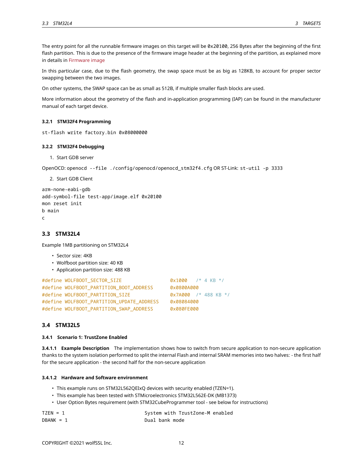The entry point for all the runnable firmware images on this target will be 0x20100, 256 Bytes after the beginning of the first flash partition. This is due to the presence of the firmware image header at the beginning of the partition, as explained more in details in [Firmware image](#page-33-0)

In this particular case, due to the flash geometry, the swap space must be as big as 128KB, to account for proper sector swapping between the two images.

On other systems, the SWAP space can be as small as 512B, if multiple smaller flash blocks are used.

More information about the geometry of the flash and in-application programming (IAP) can be found in the manufacturer manual of each target device.

#### <span id="page-11-0"></span>**3.2.1 STM32F4 Programming**

st-flash write factory.bin 0x08000000

#### <span id="page-11-1"></span>**3.2.2 STM32F4 Debugging**

1. Start GDB server

OpenOCD: openocd --file ./config/openocd/openocd\_stm32f4.cfg OR ST-Link: st-util -p 3333

2. Start GDB Client

```
arm-none-eabi-gdb
add-symbol-file test-app/image.elf 0x20100
mon reset init
b main
c
```
## <span id="page-11-2"></span>**3.3 STM32L4**

Example 1MB partitioning on STM32L4

- Sector size: 4KB
- Wolfboot partition size: 40 KB
- Application partition size: 488 KB

```
#define WOLFBOOT_SECTOR_SIZE 0x1000 /* 4 KB */
#define WOLFBOOT_PARTITION_BOOT_ADDRESS 0x0800A000
#define WOLFBOOT_PARTITION_SIZE 0x7A000 /* 488 KB */
#define WOLFBOOT_PARTITION_UPDATE_ADDRESS 0x08084000
#define WOLFBOOT_PARTITION_SWAP_ADDRESS 0x080FE000
```
## <span id="page-11-3"></span>**3.4 STM32L5**

#### <span id="page-11-4"></span>**3.4.1 Scenario 1: TrustZone Enabled**

**3.4.1.1 Example Description** The implementation shows how to switch from secure application to non-secure application thanks to the system isolation performed to split the internal Flash and internal SRAM memories into two halves: - the first half for the secure application - the second half for the non-secure application

### **3.4.1.2 Hardware and Software environment**

- This example runs on STM32L562QEIxQ devices with security enabled (TZEN=1).
- This example has been tested with STMicroelectronics STM32L562E-DK (MB1373)
- User Option Bytes requirement (with STM32CubeProgrammer tool see below for instructions)

| $TZEN = 1$  | System with TrustZone-M enabled |
|-------------|---------------------------------|
| $DBANK = 1$ | Dual bank mode                  |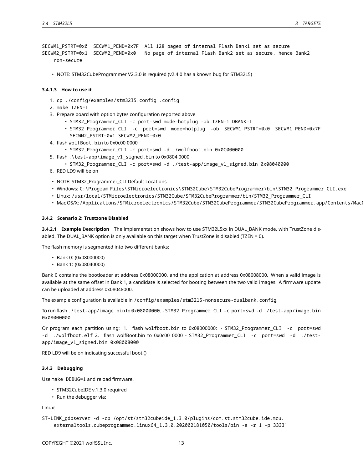SECWM1\_PSTRT=0x0 SECWM1\_PEND=0x7F All 128 pages of internal Flash Bank1 set as secure SECWM2\_PSTRT=0x1 SECWM2\_PEND=0x0 No page of internal Flash Bank2 set as secure, hence Bank2 non-secure

• NOTE: STM32CubeProgrammer V2.3.0 is required (v2.4.0 has a known bug for STM32L5)

#### **3.4.1.3 How to use it**

- 1. cp ./config/examples/stm32l5.config .config
- 2. make TZEN=1
- 3. Prepare board with option bytes configuration reported above
	- STM32\_Programmer\_CLI -c port=swd mode=hotplug -ob TZEN=1 DBANK=1
	- STM32\_Programmer\_CLI -c port=swd mode=hotplug -ob SECWM1\_PSTRT=0x0 SECWM1\_PEND=0x7F SECWM2\_PSTRT=0x1 SECWM2\_PEND=0x0
- 4. flash wolfBoot.bin to 0x0c00 0000
	- STM32\_Programmer\_CLI -c port=swd -d ./wolfboot.bin 0x0C000000
- 5. flash .\test-app\image\_v1\_signed.bin to 0x0804 0000
- STM32\_Programmer\_CLI -c port=swd -d ./test-app/image\_v1\_signed.bin 0x08040000
- 6. RED LD9 will be on
- NOTE: STM32\_Programmer\_CLI Default Locations
- Windows: C:\Program Files\STMicroelectronics\STM32Cube\STM32CubeProgrammer\bin\STM32\_Programmer\_CLI.exe
- Linux: /usr/local/STMicroelectronics/STM32Cube/STM32CubeProgrammer/bin/STM32\_Programmer\_CLI
- Mac OS/X:/Applications/STMicroelectronics/STM32Cube/STM32CubeProgrammer/STM32CubeProgrammer.app/Contents/Mac

## <span id="page-12-0"></span>**3.4.2 Scenario 2: Trustzone Disabled**

**3.4.2.1 Example Description** The implementation shows how to use STM32L5xx in DUAL\_BANK mode, with TrustZone disabled. The DUAL\_BANK option is only available on this target when TrustZone is disabled (TZEN = 0).

The flash memory is segmented into two different banks:

- Bank 0: (0x08000000)
- Bank 1: (0x08040000)

Bank 0 contains the bootloader at address 0x08000000, and the application at address 0x08008000. When a valid image is available at the same offset in Bank 1, a candidate is selected for booting between the two valid images. A firmware update can be uploaded at address 0x08048000.

The example configuration is available in /config/examples/stm32l5-nonsecure-dualbank.config.

To run flash ./test-app/image.bin to 0x08000000. - STM32\_Programmer\_CLI -c port=swd -d ./test-app/image.bin 0x08000000

Or program each partition using: 1. flash wolfboot.bin to 0x08000000: - STM32\_Programmer\_CLI -c port=swd -d ./wolfboot.elf 2. flash wolfBoot.bin to 0x0c00 0000 - STM32\_Programmer\_CLI -c port=swd -d ./testapp/image\_v1\_signed.bin 0x08008000

<span id="page-12-1"></span>RED LD9 will be on indicating successful boot ()

#### **3.4.3 Debugging**

Use make DEBUG=1 and reload firmware.

- STM32CubeIDE v.1.3.0 required
- Run the debugger via:

Linux:

```
ST-LINK_gdbserver -d -cp /opt/st/stm32cubeide_1.3.0/plugins/com.st.stm32cube.ide.mcu.
    externaltools.cubeprogrammer.linux64_1.3.0.202002181050/tools/bin -e -r 1 -p 3333`
```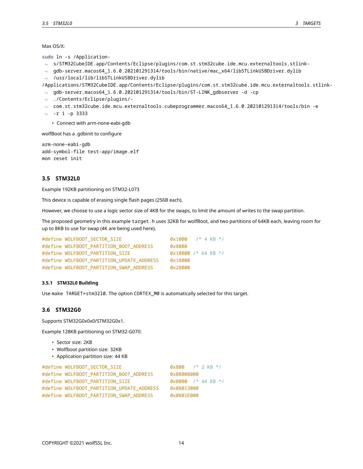Max OS/X:

sudo ln -s /Application-

- s/STM32CubeIDE.app/Contents/Eclipse/plugins/com.st.stm32cube.ide.mcu.externaltools.stlink-↪
- → gdb-server.macos64\_1.6.0.202101291314/tools/bin/native/mac\_x64/libSTLinkUSBDriver.dylib ⇔ /usr/local/lib/libSTLinkUSBDriver.dylib

/Applications/STM32CubeIDE.app/Contents/Eclipse/plugins/com.st.stm32cube.ide.mcu.externaltools.stlink-

- → gdb-server.macos64\_1.6.0.202101291314/tools/bin/ST-LINK\_gdbserver -d -cp
- ./Contents/Eclipse/plugins/- ↪
- $\rightarrow$  <code>com.st.stm32cube.ide.mcu.externaltools.cubeprogrammer.macos64\_1.6.0.202101291314/tools/bin -e</code>
- ⇔ -r 1 -p 3333
	- Connect with arm-none-eabi-gdb

wolfBoot has a .gdbinit to configure

```
arm-none-eabi-gdb
add-symbol-file test-app/image.elf
mon reset init
```
## <span id="page-13-0"></span>**3.5 STM32L0**

Example 192KB partitioning on STM32-L073

This device is capable of erasing single flash pages (256B each).

However, we choose to use a logic sector size of 4KB for the swaps, to limit the amount of writes to the swap partition.

The proposed geometry in this example target.h uses 32KB for wolfBoot, and two partitions of 64KB each, leaving room for up to 8KB to use for swap (4K are being used here).

| #define WOLFBOOT_SECTOR_SIZE              | $0 \times 1000$       |  | $/*$ 4 KB $*/$ |  |
|-------------------------------------------|-----------------------|--|----------------|--|
| #define WOLFBOOT_PARTITION_BOOT_ADDRESS   | 0x8000                |  |                |  |
| #define WOLFBOOT_PARTITION SIZE           | $0x10000$ /* 64 KB */ |  |                |  |
| #define WOLFBOOT_PARTITION_UPDATE_ADDRESS | 0x18000               |  |                |  |
| #define WOLFBOOT_PARTITION_SWAP_ADDRESS   | 0x28000               |  |                |  |

#### <span id="page-13-1"></span>**3.5.1 STM32L0 Building**

<span id="page-13-2"></span>Use make TARGET=stm32l0. The option CORTEX\_M0 is automatically selected for this target.

#### **3.6 STM32G0**

Supports STM32G0x0x0/STM32G0x1.

Example 128KB partitioning on STM32-G070:

- Sector size: 2KB
- Wolfboot partition size: 32KB
- Application partition size: 44 KB

```
#define WOLFBOOT_SECTOR_SIZE 0x800 /* 2 KB */
#define WOLFBOOT_PARTITION_BOOT_ADDRESS 0x08008000
#define WOLFBOOT_PARTITION_SIZE 0xB000 /* 44 KB */
#define WOLFBOOT_PARTITION_UPDATE_ADDRESS 0x08013000
#define WOLFBOOT PARTITION SWAP ADDRESS 0x0801E000
```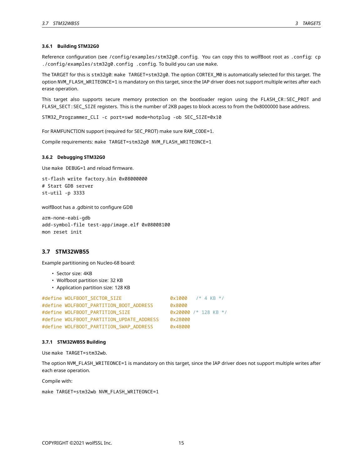#### **3.6.1 Building STM32G0**

Reference configuration (see /config/examples/stm32g0.config. You can copy this to wolfBoot root as .config: cp ./config/examples/stm32g0.config .config. To build you can use make.

The TARGET for this is stm32g0: make TARGET=stm32g0. The option CORTEX\_M0 is automatically selected for this target. The option NVM\_FLASH\_WRITEONCE=1 is mandatory on this target, since the IAP driver does not support multiple writes after each erase operation.

This target also supports secure memory protection on the bootloader region using the FLASH\_CR:SEC\_PROT and FLASH\_SECT:SEC\_SIZE registers. This is the number of 2KB pages to block access to from the 0x8000000 base address.

STM32\_Programmer\_CLI -c port=swd mode=hotplug -ob SEC\_SIZE=0x10

For RAMFUNCTION support (required for SEC\_PROT) make sure RAM\_CODE=1.

<span id="page-14-0"></span>Compile requirements: make TARGET=stm32g0 NVM\_FLASH\_WRITEONCE=1

#### **3.6.2 Debugging STM32G0**

Use make DEBUG=1 and reload firmware.

st-flash write factory.bin 0x08000000 # Start GDB server st-util -p 3333

wolfBoot has a .gdbinit to configure GDB

arm-none-eabi-gdb add-symbol-file test-app/image.elf 0x08008100 mon reset init

## <span id="page-14-1"></span>**3.7 STM32WB55**

Example partitioning on Nucleo-68 board:

- Sector size: 4KB
- Wolfboot partition size: 32 KB
- Application partition size: 128 KB

| #define WOLFBOOT SECTOR SIZE              | $0x1000$ /* 4 KB */    |  |  |
|-------------------------------------------|------------------------|--|--|
| #define WOLFBOOT_PARTITION_BOOT_ADDRESS   | 0x8000                 |  |  |
| #define WOLFBOOT PARTITION SIZE           | $0x20000$ /* 128 KB */ |  |  |
| #define WOLFBOOT PARTITION UPDATE ADDRESS | 0x28000                |  |  |
| #define WOLFBOOT_PARTITION_SWAP_ADDRESS   | 0x48000                |  |  |

#### <span id="page-14-2"></span>**3.7.1 STM32WB55 Building**

Use make TARGET=stm32wb.

The option NVM\_FLASH\_WRITEONCE=1 is mandatory on this target, since the IAP driver does not support multiple writes after each erase operation.

Compile with:

```
make TARGET=stm32wb NVM_FLASH_WRITEONCE=1
```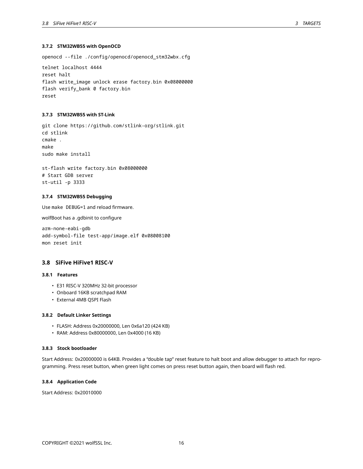### **3.7.2 STM32WB55 with OpenOCD**

openocd --file ./config/openocd/openocd\_stm32wbx.cfg

telnet localhost 4444 reset halt flash write\_image unlock erase factory.bin 0x08000000 flash verify\_bank 0 factory.bin reset

## <span id="page-15-0"></span>**3.7.3 STM32WB55 with ST-Link**

git clone https://github.com/stlink-org/stlink.git cd stlink cmake . make sudo make install

st-flash write factory.bin 0x08000000 # Start GDB server st-util -p 3333

#### <span id="page-15-1"></span>**3.7.4 STM32WB55 Debugging**

Use make DEBUG=1 and reload firmware.

wolfBoot has a .gdbinit to configure

arm-none-eabi-gdb add-symbol-file test-app/image.elf 0x08008100 mon reset init

#### <span id="page-15-2"></span>**3.8 SiFive HiFive1 RISC-V**

## <span id="page-15-3"></span>**3.8.1 Features**

- E31 RISC-V 320MHz 32-bit processor
- Onboard 16KB scratchpad RAM
- External 4MB QSPI Flash

#### <span id="page-15-4"></span>**3.8.2 Default Linker Settings**

- FLASH: Address 0x20000000, Len 0x6a120 (424 KB)
- RAM: Address 0x80000000, Len 0x4000 (16 KB)

## <span id="page-15-5"></span>**3.8.3 Stock bootloader**

Start Address: 0x20000000 is 64KB. Provides a "double tap" reset feature to halt boot and allow debugger to attach for reprogramming. Press reset button, when green light comes on press reset button again, then board will flash red.

## <span id="page-15-6"></span>**3.8.4 Application Code**

<span id="page-15-7"></span>Start Address: 0x20010000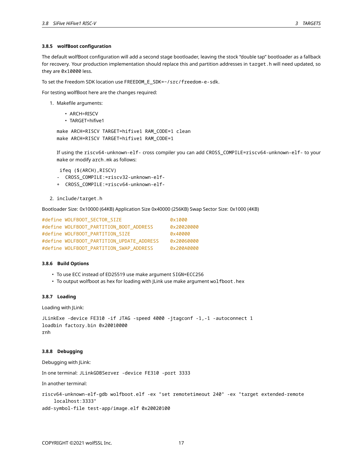#### **3.8.5 wolfBoot configuration**

The default wolfBoot configuration will add a second stage bootloader, leaving the stock "double tap" bootloader as a fallback for recovery. Your production implementation should replace this and partition addresses in target.h will need updated, so they are 0x10000 less.

To set the Freedom SDK location use FREEDOM\_E\_SDK=~/src/freedom-e-sdk.

For testing wolfBoot here are the changes required:

- 1. Makefile arguments:
	- ARCH=RISCV
	- TARGET=hifive1

```
make ARCH=RISCV TARGET=hifive1 RAM_CODE=1 clean
make ARCH=RISCV TARGET=hifive1 RAM_CODE=1
```
If using the riscv64-unknown-elf- cross compiler you can add CROSS\_COMPILE=riscv64-unknown-elf- to your make or modify arch.mk as follows:

ifeq (\$(ARCH),RISCV)

- CROSS\_COMPILE:=riscv32-unknown-elf-
- + CROSS\_COMPILE:=riscv64-unknown-elf-
- 2. include/target.h

Bootloader Size: 0x10000 (64KB) Application Size 0x40000 (256KB) Swap Sector Size: 0x1000 (4KB)

| #define WOLFBOOT_SECTOR_SIZE              | 0x1000     |
|-------------------------------------------|------------|
| #define WOLFBOOT_PARTITION_BOOT_ADDRESS   | 0x20020000 |
| #define WOLFBOOT_PARTITION SIZE           | 0x40000    |
| #define WOLFBOOT_PARTITION_UPDATE ADDRESS | 0x20060000 |
| #define WOLFBOOT PARTITION SWAP ADDRESS   | 0x200A0000 |

#### <span id="page-16-0"></span>**3.8.6 Build Options**

- To use ECC instead of ED25519 use make argument SIGN=ECC256
- To output wolfboot as hex for loading with JLink use make argument wolfboot.hex

#### <span id="page-16-1"></span>**3.8.7 Loading**

Loading with JLink:

```
JLinkExe -device FE310 -if JTAG -speed 4000 -jtagconf -1,-1 -autoconnect 1
loadbin factory.bin 0x20010000
rnh
```
#### <span id="page-16-2"></span>**3.8.8 Debugging**

Debugging with JLink:

In one terminal: JLinkGDBServer -device FE310 -port 3333

In another terminal:

```
riscv64-unknown-elf-gdb wolfboot.elf -ex "set remotetimeout 240" -ex "target extended-remote
   localhost:3333"
```
<span id="page-16-3"></span>add-symbol-file test-app/image.elf 0x20020100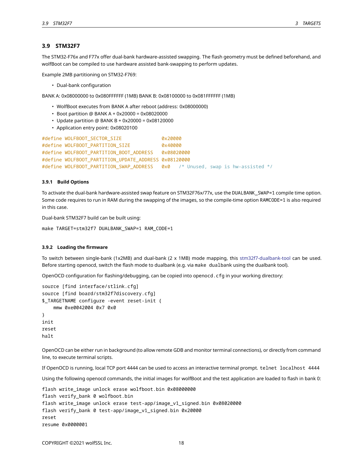## **3.9 STM32F7**

The STM32-F76x and F77x offer dual-bank hardware-assisted swapping. The flash geometry must be defined beforehand, and wolfBoot can be compiled to use hardware assisted bank-swapping to perform updates.

Example 2MB partitioning on STM32-F769:

• Dual-bank configuration

BANK A: 0x08000000 to 0x080FFFFFF (1MB) BANK B: 0x08100000 to 0x081FFFFFF (1MB)

- WolfBoot executes from BANK A after reboot (address: 0x08000000)
- Boot partition @ BANK A + 0x20000 = 0x08020000
- Update partition @ BANK B + 0x20000 = 0x08120000
- Application entry point: 0x08020100

```
#define WOLFBOOT_SECTOR_SIZE 0x20000
#define WOLFBOOT_PARTITION_SIZE 0x40000
#define WOLFBOOT_PARTITION_BOOT_ADDRESS 0x08020000
#define WOLFBOOT_PARTITION_UPDATE_ADDRESS 0x08120000
#define WOLFBOOT_PARTITION_SWAP_ADDRESS 0x0 /* Unused, swap is hw-assisted */
```
#### <span id="page-17-0"></span>**3.9.1 Build Options**

To activate the dual-bank hardware-assisted swap feature on STM32F76x/77x, use the DUALBANK\_SWAP=1 compile time option. Some code requires to run in RAM during the swapping of the images, so the compile-time option RAMCODE=1 is also required in this case.

Dual-bank STM32F7 build can be built using:

make TARGET=stm32f7 DUALBANK\_SWAP=1 RAM\_CODE=1

#### <span id="page-17-1"></span>**3.9.2 Loading the firmware**

To switch between single-bank (1x2MB) and dual-bank (2 x 1MB) mode mapping, this [stm32f7-dualbank-tool](https://github.com/danielinux/stm32f7-dualbank-tool) can be used. Before starting openocd, switch the flash mode to dualbank (e.g. via make dualbank using the dualbank tool).

OpenOCD configuration for flashing/debugging, can be copied into openocd.cfg in your working directory:

```
source [find interface/stlink.cfg]
source [find board/stm32f7discovery.cfg]
$_TARGETNAME configure -event reset-init {
    mmw 0xe0042004 0x7 0x0
}
init
reset
halt
```
OpenOCD can be either run in background (to allow remote GDB and monitor terminal connections), or directly from command line, to execute terminal scripts.

If OpenOCD is running, local TCP port 4444 can be used to access an interactive terminal prompt. telnet localhost 4444

Using the following openocd commands, the initial images for wolfBoot and the test application are loaded to flash in bank 0:

```
flash write_image unlock erase wolfboot.bin 0x08000000
flash verify_bank 0 wolfboot.bin
flash write_image unlock erase test-app/image_v1_signed.bin 0x08020000
flash verify_bank 0 test-app/image_v1_signed.bin 0x20000
reset
resume 0x0000001
```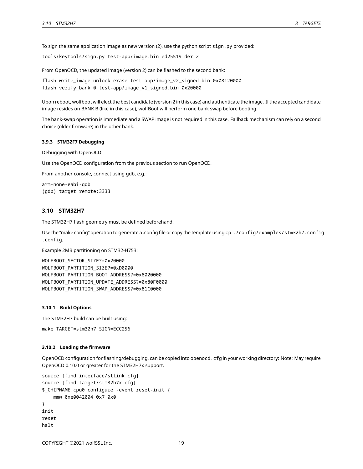To sign the same application image as new version (2), use the python script sign.py provided:

```
tools/keytools/sign.py test-app/image.bin ed25519.der 2
```
From OpenOCD, the updated image (version 2) can be flashed to the second bank:

```
flash write_image unlock erase test-app/image_v2_signed.bin 0x08120000
flash verify_bank 0 test-app/image_v1_signed.bin 0x20000
```
Upon reboot, wolfboot will elect the best candidate (version 2 in this case) and authenticate the image. If the accepted candidate image resides on BANK B (like in this case), wolfBoot will perform one bank swap before booting.

The bank-swap operation is immediate and a SWAP image is not required in this case. Fallback mechanism can rely on a second choice (older firmware) in the other bank.

#### <span id="page-18-0"></span>**3.9.3 STM32F7 Debugging**

Debugging with OpenOCD:

Use the OpenOCD configuration from the previous section to run OpenOCD.

From another console, connect using gdb, e.g.:

arm-none-eabi-gdb (gdb) target remote:3333

### <span id="page-18-1"></span>**3.10 STM32H7**

The STM32H7 flash geometry must be defined beforehand.

Use the "make config" operation to generate a .config file or copy the template using cp ./config/examples/stm32h7.config .config.

Example 2MB partitioning on STM32-H753:

WOLFBOOT\_SECTOR\_SIZE?=0x20000 WOLFBOOT\_PARTITION\_SIZE?=0xD0000 WOLFBOOT\_PARTITION\_BOOT\_ADDRESS?=0x8020000 WOLFBOOT\_PARTITION\_UPDATE\_ADDRESS?=0x80F0000 WOLFBOOT\_PARTITION\_SWAP\_ADDRESS?=0x81C0000

#### <span id="page-18-2"></span>**3.10.1 Build Options**

The STM32H7 build can be built using: make TARGET=stm32h7 SIGN=ECC256

#### <span id="page-18-3"></span>**3.10.2 Loading the firmware**

OpenOCD configuration for flashing/debugging, can be copied into openocd.cfg in your working directory: Note: May require OpenOCD 0.10.0 or greater for the STM32H7x support.

```
source [find interface/stlink.cfg]
source [find target/stm32h7x.cfg]
$_CHIPNAME.cpu0 configure -event reset-init {
    mmw 0xe0042004 0x7 0x0
}
init
reset
halt
```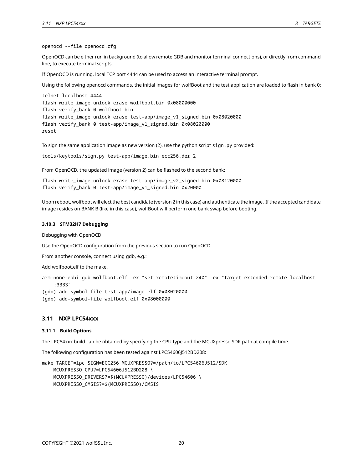openocd --file openocd.cfg

OpenOCD can be either run in background (to allow remote GDB and monitor terminal connections), or directly from command line, to execute terminal scripts.

If OpenOCD is running, local TCP port 4444 can be used to access an interactive terminal prompt.

Using the following openocd commands, the initial images for wolfBoot and the test application are loaded to flash in bank 0:

```
telnet localhost 4444
flash write image unlock erase wolfboot.bin 0x08000000
flash verify_bank 0 wolfboot.bin
flash write_image unlock erase test-app/image_v1_signed.bin 0x08020000
flash verify_bank 0 test-app/image_v1_signed.bin 0x08020000
reset
```
To sign the same application image as new version (2), use the python script sign.py provided:

```
tools/keytools/sign.py test-app/image.bin ecc256.der 2
```
From OpenOCD, the updated image (version 2) can be flashed to the second bank:

```
flash write_image unlock erase test-app/image_v2_signed.bin 0x08120000
flash verify_bank 0 test-app/image_v1_signed.bin 0x20000
```
Upon reboot, wolfboot will elect the best candidate (version 2 in this case) and authenticate the image. If the accepted candidate image resides on BANK B (like in this case), wolfBoot will perform one bank swap before booting.

#### <span id="page-19-0"></span>**3.10.3 STM32H7 Debugging**

Debugging with OpenOCD:

Use the OpenOCD configuration from the previous section to run OpenOCD.

From another console, connect using gdb, e.g.:

Add wolfboot.elf to the make.

arm-none-eabi-gdb wolfboot.elf -ex "set remotetimeout 240" -ex "target extended-remote localhost :3333"

(gdb) add-symbol-file test-app/image.elf 0x08020000

<span id="page-19-1"></span>(gdb) add-symbol-file wolfboot.elf 0x08000000

### **3.11 NXP LPC54xxx**

#### <span id="page-19-2"></span>**3.11.1 Build Options**

The LPC54xxx build can be obtained by specifying the CPU type and the MCUXpresso SDK path at compile time.

The following configuration has been tested against LPC54606J512BD208:

```
make TARGET=lpc SIGN=ECC256 MCUXPRESSO?=/path/to/LPC54606J512/SDK
    MCUXPRESSO_CPU?=LPC54606J512BD208 \
    MCUXPRESSO_DRIVERS?=$(MCUXPRESSO)/devices/LPC54606 \
    MCUXPRESSO_CMSIS?=$(MCUXPRESSO)/CMSIS
```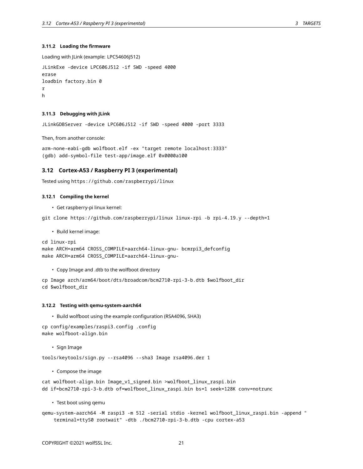#### **3.11.2 Loading the firmware**

```
Loading with JLink (example: LPC54606J512)
JLinkExe -device LPC606J512 -if SWD -speed 4000
erase
loadbin factory.bin 0
r
h
```
#### <span id="page-20-0"></span>**3.11.3 Debugging with JLink**

JLinkGDBServer -device LPC606J512 -if SWD -speed 4000 -port 3333

Then, from another console:

arm-none-eabi-gdb wolfboot.elf -ex "target remote localhost:3333" (gdb) add-symbol-file test-app/image.elf 0x0000a100

#### <span id="page-20-1"></span>**3.12 Cortex-A53 / Raspberry PI 3 (experimental)**

<span id="page-20-2"></span>Tested using https://github.com/raspberrypi/linux

#### **3.12.1 Compiling the kernel**

• Get raspberry-pi linux kernel:

git clone https://github.com/raspberrypi/linux linux-rpi -b rpi-4.19.y --depth=1

• Build kernel image:

```
cd linux-rpi
make ARCH=arm64 CROSS_COMPILE=aarch64-linux-gnu- bcmrpi3_defconfig
make ARCH=arm64 CROSS_COMPILE=aarch64-linux-gnu-
```
• Copy Image and .dtb to the wolfboot directory

cp Image arch/arm64/boot/dts/broadcom/bcm2710-rpi-3-b.dtb \$wolfboot\_dir cd \$wolfboot\_dir

#### <span id="page-20-3"></span>**3.12.2 Testing with qemu-system-aarch64**

• Build wolfboot using the example configuration (RSA4096, SHA3)

cp config/examples/raspi3.config .config make wolfboot-align.bin

• Sign Image

tools/keytools/sign.py --rsa4096 --sha3 Image rsa4096.der 1

• Compose the image

cat wolfboot-align.bin Image\_v1\_signed.bin >wolfboot\_linux\_raspi.bin dd if=bcm2710-rpi-3-b.dtb of=wolfboot\_linux\_raspi.bin bs=1 seek=128K conv=notrunc

• Test boot using qemu

<span id="page-20-4"></span>qemu-system-aarch64 -M raspi3 -m 512 -serial stdio -kernel wolfboot\_linux\_raspi.bin -append " terminal=ttyS0 rootwait" -dtb ./bcm2710-rpi-3-b.dtb -cpu cortex-a53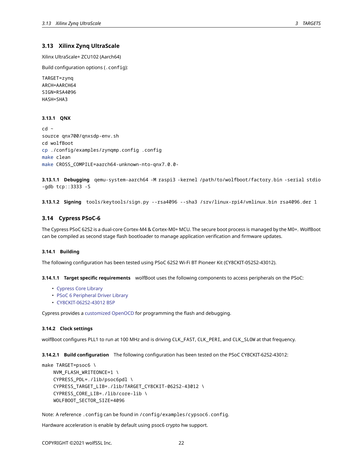## **3.13 Xilinx Zynq UltraScale**

Xilinx UltraScale+ ZCU102 (Aarch64)

Build configuration options (.config):

TARGET=zynq ARCH=AARCH64 SIGN=RSA4096 HASH=SHA3

#### <span id="page-21-0"></span>**3.13.1 QNX**

cd ~ source qnx700/qnxsdp-env.sh cd wolfBoot cp ./config/examples/zynqmp.config .config make clean make CROSS\_COMPILE=aarch64-unknown-nto-qnx7.0.0-

**3.13.1.1 Debugging** qemu-system-aarch64 -M raspi3 -kernel /path/to/wolfboot/factory.bin -serial stdio -gdb tcp::3333 -S

<span id="page-21-4"></span><span id="page-21-1"></span>**3.13.1.2 Signing** tools/keytools/sign.py --rsa4096 --sha3 /srv/linux-rpi4/vmlinux.bin rsa4096.der 1

## **3.14 Cypress PSoC-6**

The Cypress PSoC 62S2 is a dual-core Cortex-M4 & Cortex-M0+ MCU. The secure boot process is managed by the M0+. WolfBoot can be compiled as second stage flash bootloader to manage application verification and firmware updates.

#### <span id="page-21-2"></span>**3.14.1 Building**

The following configuration has been tested using PSoC 62S2 Wi-Fi BT Pioneer Kit (CY8CKIT-052S2-43012).

**3.14.1.1 Target specific requirements** wolfBoot uses the following components to access peripherals on the PSoC:

- [Cypress Core Library](https://github.com/cypresssemiconductorco/core-lib)
- [PSoC 6 Peripheral Driver Library](https://github.com/cypresssemiconductorco/psoc6pdl)
- [CY8CKIT-062S2-43012 BSP](https://github.com/cypresssemiconductorco/TARGET_CY8CKIT-062S2-43012)

<span id="page-21-3"></span>Cypress provides a [customized OpenOCD](https://github.com/cypresssemiconductorco/Openocd) for programming the flash and debugging.

#### **3.14.2 Clock settings**

wolfBoot configures PLL1 to run at 100 MHz and is driving CLK\_FAST, CLK\_PERI, and CLK\_SLOW at that frequency.

**3.14.2.1 Build configuration** The following configuration has been tested on the PSoC CY8CKIT-62S2-43012:

```
make TARGET=psoc6 \
    NVM_FLASH_WRITEONCE=1 \
    CYPRESS_PDL=./lib/psoc6pdl \
    CYPRESS_TARGET_LIB=./lib/TARGET_CY8CKIT-062S2-43012 \
    CYPRESS_CORE_LIB=./lib/core-lib \
    WOLFBOOT_SECTOR_SIZE=4096
```
Note: A reference .config can be found in /config/examples/cypsoc6.config.

Hardware acceleration is enable by default using psoc6 crypto hw support.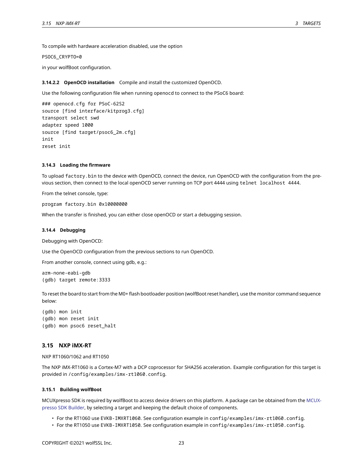To compile with hardware acceleration disabled, use the option

PSOC6\_CRYPTO=0

in your wolfBoot configuration.

**3.14.2.2 OpenOCD installation** Compile and install the customized OpenOCD.

Use the following configuration file when running openocd to connect to the PSoC6 board:

### openocd.cfg for PSoC-62S2 source [find interface/kitprog3.cfg] transport select swd adapter speed 1000 source [find target/psoc6\_2m.cfg] init reset init

#### <span id="page-22-0"></span>**3.14.3 Loading the firmware**

To upload factory.bin to the device with OpenOCD, connect the device, run OpenOCD with the configuration from the previous section, then connect to the local openOCD server running on TCP port 4444 using telnet localhost 4444.

From the telnet console, type:

program factory.bin 0x10000000

<span id="page-22-1"></span>When the transfer is finished, you can either close openOCD or start a debugging session.

#### **3.14.4 Debugging**

Debugging with OpenOCD:

Use the OpenOCD configuration from the previous sections to run OpenOCD.

From another console, connect using gdb, e.g.:

arm-none-eabi-gdb (gdb) target remote:3333

To reset the board to start from the M0+ flash bootloader position (wolfBoot reset handler), use the monitor command sequence below:

(gdb) mon init (gdb) mon reset init (gdb) mon psoc6 reset\_halt

#### <span id="page-22-2"></span>**3.15 NXP iMX-RT**

NXP RT1060/1062 and RT1050

The NXP iMX-RT1060 is a Cortex-M7 with a DCP coprocessor for SHA256 acceleration. Example configuration for this target is provided in /config/examples/imx-rt1060.config.

## <span id="page-22-3"></span>**3.15.1 Building wolfBoot**

MCUXpresso SDK is required by wolfBoot to access device drivers on this platform. A package can be obtained from the [MCUX](https://mcuxpresso.nxp.com/en/welcome)[presso SDK Builder](https://mcuxpresso.nxp.com/en/welcome), by selecting a target and keeping the default choice of components.

- For the RT1060 use EVKB-IMXRT1060. See configuration example in config/examples/imx-rt1060.config.
- For the RT1050 use EVKB-IMXRT1050. See configuration example in config/examples/imx-rt1050.config.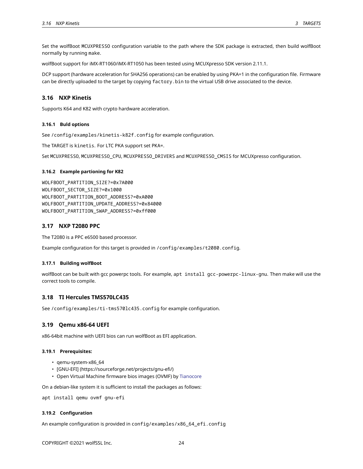Set the wolfBoot MCUXPRESSO configuration variable to the path where the SDK package is extracted, then build wolfBoot normally by running make.

wolfBoot support for iMX-RT1060/iMX-RT1050 has been tested using MCUXpresso SDK version 2.11.1.

DCP support (hardware acceleration for SHA256 operations) can be enabled by using PKA=1 in the configuration file. Firmware can be directly uploaded to the target by copying factory. bin to the virtual USB drive associated to the device.

## <span id="page-23-0"></span>**3.16 NXP Kinetis**

<span id="page-23-1"></span>Supports K64 and K82 with crypto hardware acceleration.

#### **3.16.1 Buld options**

See /config/examples/kinetis-k82f.config for example configuration.

The TARGET is kinetis. For LTC PKA support set PKA=.

<span id="page-23-2"></span>Set MCUXPRESSO, MCUXPRESSO\_CPU, MCUXPRESSO\_DRIVERS and MCUXPRESSO\_CMSIS for MCUXpresso configuration.

#### **3.16.2 Example partioning for K82**

WOLFBOOT\_PARTITION\_SIZE?=0x7A000 WOLFBOOT\_SECTOR\_SIZE?=0x1000 WOLFBOOT\_PARTITION\_BOOT\_ADDRESS?=0xA000 WOLFBOOT\_PARTITION\_UPDATE\_ADDRESS?=0x84000 WOLFBOOT\_PARTITION\_SWAP\_ADDRESS?=0xff000

## <span id="page-23-3"></span>**3.17 NXP T2080 PPC**

The T2080 is a PPC e6500 based processor.

<span id="page-23-4"></span>Example configuration for this target is provided in /config/examples/t2080.config.

### **3.17.1 Building wolfBoot**

wolfBoot can be built with gcc powerpc tools. For example, apt install gcc-powerpc-linux-gnu. Then make will use the correct tools to compile.

### <span id="page-23-5"></span>**3.18 TI Hercules TMS570LC435**

<span id="page-23-6"></span>See /config/examples/ti-tms570lc435.config for example configuration.

#### **3.19 Qemu x86-64 UEFI**

<span id="page-23-7"></span>x86-64bit machine with UEFI bios can run wolfBoot as EFI application.

#### **3.19.1 Prerequisites:**

- qemu-system-x86\_64
- [GNU-EFI] (https://sourceforge.net/projects/gnu-efi/)
- Open Virtual Machine firmware bios images (OVMF) by [Tianocore](https://tianocore.org)

On a debian-like system it is sufficient to install the packages as follows:

<span id="page-23-8"></span>apt install qemu ovmf gnu-efi

#### **3.19.2 Configuration**

<span id="page-23-9"></span>An example configuration is provided in config/examples/x86\_64\_efi.config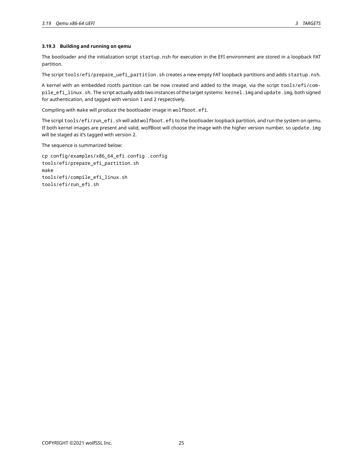## **3.19.3 Building and running on qemu**

The bootloader and the initialization script startup.nsh for execution in the EFI environment are stored in a loopback FAT partition.

The script tools/efi/prepare\_uefi\_partition.sh creates a new empty FAT loopback partitions and adds startup.nsh.

A kernel with an embedded rootfs partition can be now created and added to the image, via the script tools/efi/compile\_efi\_linux.sh. The script actually adds two instances of the target systems: kernel.img and update.img, both signed for authentication, and tagged with version 1 and 2 respectively.

Compiling with make will produce the bootloader image in wolfboot.efi.

The script tools/efi/run\_efi.sh will add wolfboot.efi to the bootloader loopback partition, and run the system on qemu. If both kernel images are present and valid, wolfBoot will choose the image with the higher version number, so update.img will be staged as it's tagged with version 2.

The sequence is summarized below:

<span id="page-24-0"></span>cp config/examples/x86\_64\_efi.config .config tools/efi/prepare\_efi\_partition.sh make tools/efi/compile\_efi\_linux.sh tools/efi/run\_efi.sh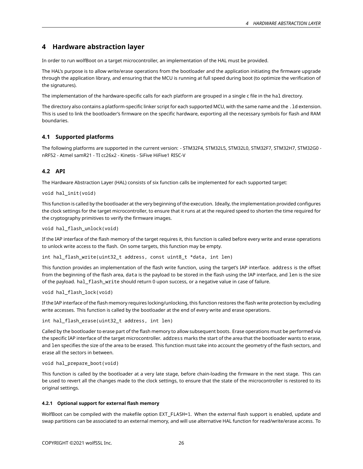# **4 Hardware abstraction layer**

In order to run wolfBoot on a target microcontroller, an implementation of the HAL must be provided.

The HAL's purpose is to allow write/erase operations from the bootloader and the application initiating the firmware upgrade through the application library, and ensuring that the MCU is running at full speed during boot (to optimize the verification of the signatures).

The implementation of the hardware-specific calls for each platform are grouped in a single c file in the hal directory.

The directory also contains a platform-specific linker script for each supported MCU, with the same name and the .ld extension. This is used to link the bootloader's firmware on the specific hardware, exporting all the necessary symbols for flash and RAM boundaries.

## <span id="page-25-0"></span>**4.1 Supported platforms**

<span id="page-25-1"></span>The following platforms are supported in the current version: - STM32F4, STM32L5, STM32L0, STM32F7, STM32H7, STM32G0 nRF52 - Atmel samR21 - TI cc26x2 - Kinetis - SiFive HiFive1 RISC-V

## **4.2 API**

The Hardware Abstraction Layer (HAL) consists of six function calls be implemented for each supported target:

```
void hal_init(void)
```
This function is called by the bootloader at the very beginning of the execution. Ideally, the implementation provided configures the clock settings for the target microcontroller, to ensure that it runs at at the required speed to shorten the time required for the cryptography primitives to verify the firmware images.

```
void hal_flash_unlock(void)
```
If the IAP interface of the flash memory of the target requires it, this function is called before every write and erase operations to unlock write access to the flash. On some targets, this function may be empty.

int hal\_flash\_write(uint32\_t address, const uint8\_t \*data, int len)

This function provides an implementation of the flash write function, using the target's IAP interface. address is the offset from the beginning of the flash area, data is the payload to be stored in the flash using the IAP interface, and len is the size of the payload. hal flash write should return 0 upon success, or a negative value in case of failure.

```
void hal flash lock(void)
```
If the IAP interface of the flash memory requires locking/unlocking, this function restores the flash write protection by excluding write accesses. This function is called by the bootloader at the end of every write and erase operations.

int hal\_flash\_erase(uint32\_t address, int len)

Called by the bootloader to erase part of the flash memory to allow subsequent boots. Erase operations must be performed via the specific IAP interface of the target microcontroller. address marks the start of the area that the bootloader wants to erase, and len specifies the size of the area to be erased. This function must take into account the geometry of the flash sectors, and erase all the sectors in between.

```
void hal_prepare_boot(void)
```
This function is called by the bootloader at a very late stage, before chain-loading the firmware in the next stage. This can be used to revert all the changes made to the clock settings, to ensure that the state of the microcontroller is restored to its original settings.

## <span id="page-25-2"></span>**4.2.1 Optional support for external flash memory**

WolfBoot can be compiled with the makefile option EXT\_FLASH=1. When the external flash support is enabled, update and swap partitions can be associated to an external memory, and will use alternative HAL function for read/write/erase access. To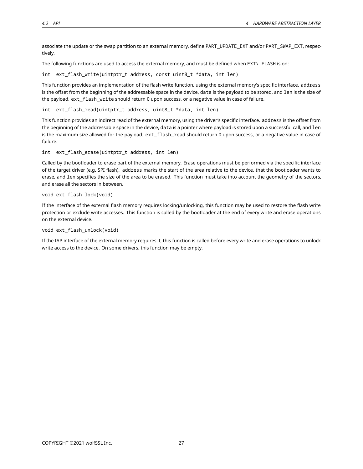associate the update or the swap partition to an external memory, define PART\_UPDATE\_EXT and/or PART\_SWAP\_EXT, respectively.

The following functions are used to access the external memory, and must be defined when EXT\\_FLASH is on:

int ext\_flash\_write(uintptr\_t address, const uint8\_t \*data, int len)

This function provides an implementation of the flash write function, using the external memory's specific interface. address is the offset from the beginning of the addressable space in the device, data is the payload to be stored, and len is the size of the payload. ext\_flash\_write should return 0 upon success, or a negative value in case of failure.

int ext\_flash\_read(uintptr\_t address, uint8\_t \*data, int len)

This function provides an indirect read of the external memory, using the driver's specific interface. address is the offset from the beginning of the addressable space in the device, data is a pointer where payload is stored upon a successful call, and len is the maximum size allowed for the payload. ext\_flash\_read should return 0 upon success, or a negative value in case of failure.

int ext\_flash\_erase(uintptr\_t address, int len)

Called by the bootloader to erase part of the external memory. Erase operations must be performed via the specific interface of the target driver (e.g. SPI flash). address marks the start of the area relative to the device, that the bootloader wants to erase, and len specifies the size of the area to be erased. This function must take into account the geometry of the sectors, and erase all the sectors in between.

## void ext\_flash\_lock(void)

If the interface of the external flash memory requires locking/unlocking, this function may be used to restore the flash write protection or exclude write accesses. This function is called by the bootloader at the end of every write and erase operations on the external device.

void ext\_flash\_unlock(void)

<span id="page-26-0"></span>If the IAP interface of the external memory requires it, this function is called before every write and erase operations to unlock write access to the device. On some drivers, this function may be empty.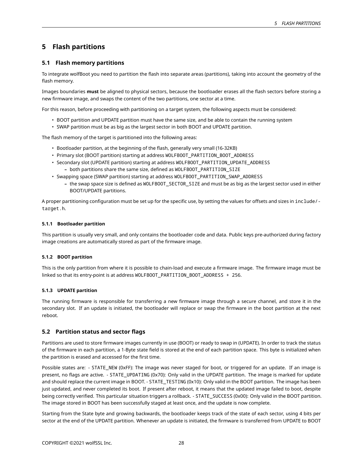# **5 Flash partitions**

## <span id="page-27-0"></span>**5.1 Flash memory partitions**

To integrate wolfBoot you need to partition the flash into separate areas (partitions), taking into account the geometry of the flash memory.

Images boundaries **must** be aligned to physical sectors, because the bootloader erases all the flash sectors before storing a new firmware image, and swaps the content of the two partitions, one sector at a time.

For this reason, before proceeding with partitioning on a target system, the following aspects must be considered:

- BOOT partition and UPDATE partition must have the same size, and be able to contain the running system
- SWAP partition must be as big as the largest sector in both BOOT and UPDATE partition.

The flash memory of the target is partitioned into the following areas:

- Bootloader partition, at the beginning of the flash, generally very small (16-32KB)
- Primary slot (BOOT partition) starting at address WOLFBOOT\_PARTITION\_BOOT\_ADDRESS
- Secondary slot (UPDATE partition) starting at address WOLFBOOT\_PARTITION\_UPDATE\_ADDRESS
	- **–** both partitions share the same size, defined as WOLFBOOT\_PARTITION\_SIZE
- Swapping space (SWAP partition) starting at address WOLFBOOT\_PARTITION\_SWAP\_ADDRESS
	- **–** the swap space size is defined as WOLFBOOT\_SECTOR\_SIZE and must be as big as the largest sector used in either BOOT/UPDATE partitions.

A proper partitioning configuration must be set up for the specific use, by setting the values for offsets and sizes in include/ target.h.

## <span id="page-27-1"></span>**5.1.1 Bootloader partition**

This partition is usually very small, and only contains the bootloader code and data. Public keys pre-authorized during factory image creations are automatically stored as part of the firmware image.

## <span id="page-27-2"></span>**5.1.2 BOOT partition**

This is the only partition from where it is possible to chain-load and execute a firmware image. The firmware image must be linked so that its entry-point is at address WOLFBOOT\_PARTITION\_BOOT\_ADDRESS + 256.

## <span id="page-27-3"></span>**5.1.3 UPDATE partition**

The running firmware is responsible for transferring a new firmware image through a secure channel, and store it in the secondary slot. If an update is initiated, the bootloader will replace or swap the firmware in the boot partition at the next reboot.

## <span id="page-27-4"></span>**5.2 Partition status and sector flags**

Partitions are used to store firmware images currently in use (BOOT) or ready to swap in (UPDATE). In order to track the status of the firmware in each partition, a 1-Byte state field is stored at the end of each partition space. This byte is initialized when the partition is erased and accessed for the first time.

Possible states are: - STATE\_NEW (0xFF): The image was never staged for boot, or triggered for an update. If an image is present, no flags are active. - STATE\_UPDATING (0x70): Only valid in the UPDATE partition. The image is marked for update and should replace the current image in BOOT. - STATE\_TESTING (0x10): Only valid in the BOOT partition. The image has been just updated, and never completed its boot. If present after reboot, it means that the updated image failed to boot, despite being correctly verified. This particular situation triggers a rollback. - STATE\_SUCCESS (0x00): Only valid in the BOOT partition. The image stored in BOOT has been successfully staged at least once, and the update is now complete.

Starting from the State byte and growing backwards, the bootloader keeps track of the state of each sector, using 4 bits per sector at the end of the UPDATE partition. Whenever an update is initiated, the firmware is transferred from UPDATE to BOOT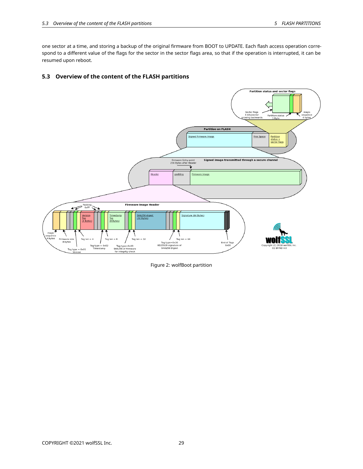one sector at a time, and storing a backup of the original firmware from BOOT to UPDATE. Each flash access operation correspond to a different value of the flags for the sector in the sector flags area, so that if the operation is interrupted, it can be resumed upon reboot.

## <span id="page-28-0"></span>**5.3 Overview of the content of the FLASH partitions**



<span id="page-28-1"></span>Figure 2: wolfBoot partition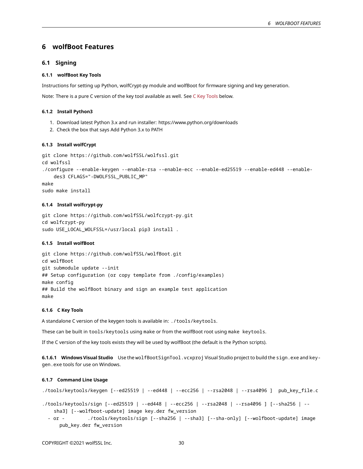## **6 wolfBoot Features**

### <span id="page-29-0"></span>**6.1 Signing**

## <span id="page-29-1"></span>**6.1.1 wolfBoot Key Tools**

Instructions for setting up Python, wolfCrypt-py module and wolfBoot for firmware signing and key generation.

<span id="page-29-2"></span>Note: There is a pure C version of the key tool available as well. See [C Key Tools](#page-29-6) below.

#### **6.1.2 Install Python3**

- 1. Download latest Python 3.x and run installer: https://www.python.org/downloads
- <span id="page-29-3"></span>2. Check the box that says Add Python 3.x to PATH

#### **6.1.3 Install wolfCrypt**

```
git clone https://github.com/wolfSSL/wolfssl.git
cd wolfssl
./configure --enable-keygen --enable-rsa --enable-ecc --enable-ed25519 --enable-ed448 --enable-
    des3 CFLAGS="-DWOLFSSL_PUBLIC_MP"
make
sudo make install
```
## <span id="page-29-4"></span>**6.1.4 Install wolfcrypt-py**

```
git clone https://github.com/wolfSSL/wolfcrypt-py.git
cd wolfcrypt-py
sudo USE_LOCAL_WOLFSSL=/usr/local pip3 install .
```
## <span id="page-29-5"></span>**6.1.5 Install wolfBoot**

git clone https://github.com/wolfSSL/wolfBoot.git cd wolfBoot git submodule update --init ## Setup configuration (or copy template from ./config/examples) make config ## Build the wolfBoot binary and sign an example test application make

#### <span id="page-29-6"></span>**6.1.6 C Key Tools**

A standalone C version of the keygen tools is available in: ./tools/keytools.

These can be built in tools/keytools using make or from the wolfBoot root using make keytools.

If the C version of the key tools exists they will be used by wolfBoot (the default is the Python scripts).

**6.1.6.1 Windows Visual Studio** Use the wolfBootSignTool.vcxproj Visual Studio project to build the sign.exe and keygen.exe tools for use on Windows.

#### <span id="page-29-7"></span>**6.1.7 Command Line Usage**

```
./tools/keytools/keygen [--ed25519 | --ed448 | --ecc256 | --rsa2048 | --rsa4096 ] pub_key_file.c
```
./tools/keytools/sign [--ed25519 | --ed448 | --ecc256 | --rsa2048 | --rsa4096 ] [--sha256 | - sha3] [--wolfboot-update] image key.der fw\_version

- or - ./tools/keytools/sign [--sha256 | --sha3] [--sha-only] [--wolfboot-update] image pub\_key.der fw\_version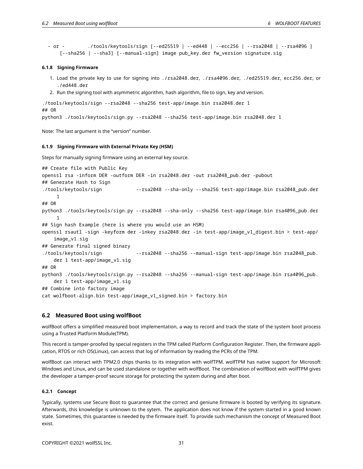```
- or - ./tools/keytools/sign [--ed25519 | --ed448 | --ecc256 | --rsa2048 | --rsa4096 ]
    [--sha256 | --sha3] [--manual-sign] image pub_key.der fw_version signature.sig
```
### <span id="page-30-0"></span>**6.1.8 Signing Firmware**

- 1. Load the private key to use for signing into ./rsa2048.der, ./rsa4096.der, ./ed25519.der, ecc256.der, or ./ed448.der
- 2. Run the signing tool with asymmetric algorithm, hash algorithm, file to sign, key and version.

```
./tools/keytools/sign --rsa2048 --sha256 test-app/image.bin rsa2048.der 1
## OR
python3 ./tools/keytools/sign.py --rsa2048 --sha256 test-app/image.bin rsa2048.der 1
```
<span id="page-30-1"></span>Note: The last argument is the "version" number.

#### **6.1.9 Signing Firmware with External Private Key (HSM)**

Steps for manually signing firmware using an external key source.

```
## Create file with Public Key
openssl rsa -inform DER -outform DER -in rsa2048.der -out rsa2048_pub.der -pubout
## Generate Hash to Sign
./tools/keytools/sign --rsa2048 --sha-only --sha256 test-app/image.bin rsa2048_pub.der
     1
## OR
python3 ./tools/keytools/sign.py --rsa2048 --sha-only --sha256 test-app/image.bin rsa4096_pub.der
     1
## Sign hash Example (here is where you would use an HSM)
openssl rsautl -sign -keyform der -inkey rsa2048.der -in test-app/image_v1_digest.bin > test-app/
    image_v1.sig
## Generate final signed binary
./tools/keytools/sign --rsa2048 --sha256 --manual-sign test-app/image.bin rsa2048_pub.
   der 1 test-app/image_v1.sig
## OR
python3 ./tools/keytools/sign.py --rsa2048 --sha256 --manual-sign test-app/image.bin rsa4096_pub.
   der 1 test-app/image_v1.sig
## Combine into factory image
cat wolfboot-align.bin test-app/image_v1_signed.bin > factory.bin
```
## <span id="page-30-2"></span>**6.2 Measured Boot using wolfBoot**

wolfBoot offers a simplified measured boot implementation, a way to record and track the state of the system boot process using a Trusted Platform Module(TPM).

This record is tamper-proofed by special registers in the TPM called Platform Configuration Register. Then, the firmware application, RTOS or rich OS(Linux), can access that log of information by reading the PCRs of the TPM.

wolfBoot can interact with TPM2.0 chips thanks to its integration with wolfTPM. wolfTPM has native support for Microsoft Windows and Linux, and can be used standalone or together with wolfBoot. The combination of wolfBoot with wolfTPM gives the developer a tamper-proof secure storage for protecting the system during and after boot.

#### <span id="page-30-3"></span>**6.2.1 Concept**

Typically, systems use Secure Boot to guarantee that the correct and geniune firmware is booted by verifying its signature. Afterwards, this knowledge is unknown to the sytem. The application does not know if the system started in a good known state. Sometimes, this guarantee is needed by the firmware itself. To provide such mechanism the concept of Measured Boot exist.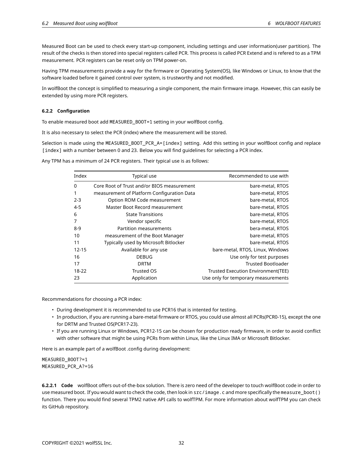Measured Boot can be used to check every start-up component, including settings and user information(user partition). The result of the checks is then stored into special registers called PCR. This process is called PCR Extend and is refered to as a TPM measurement. PCR registers can be reset only on TPM power-on.

Having TPM measurements provide a way for the firmware or Operating System(OS), like Windows or Linux, to know that the software loaded before it gained control over system, is trustworthy and not modified.

In wolfBoot the concept is simplified to measuring a single component, the main firmware image. However, this can easily be extended by using more PCR registers.

### <span id="page-31-0"></span>**6.2.2 Configuration**

To enable measured boot add MEASURED\_BOOT=1 setting in your wolfBoot config.

It is also necessary to select the PCR (index) where the measurement will be stored.

Selection is made using the MEASURED\_BOOT\_PCR\_A=[index] setting. Add this setting in your wolfBoot config and replace [index] with a number between 0 and 23. Below you will find guidelines for selecting a PCR index.

Any TPM has a minimum of 24 PCR registers. Their typical use is as follows:

| Index     | Typical use                                | Recommended to use with             |
|-----------|--------------------------------------------|-------------------------------------|
| $\Omega$  | Core Root of Trust and/or BIOS measurement | bare-metal, RTOS                    |
|           | measurement of Platform Configuration Data | bare-metal, RTOS                    |
| $2 - 3$   | Option ROM Code measurement                | bare-metal, RTOS                    |
| $4 - 5$   | Master Boot Record measurement             | bare-metal, RTOS                    |
| 6         | <b>State Transitions</b>                   | bare-metal, RTOS                    |
| 7         | Vendor specific                            | bare-metal, RTOS                    |
| $8-9$     | Partition measurements                     | bera-metal, RTOS                    |
| 10        | measurement of the Boot Manager            | bare-metal, RTOS                    |
| 11        | Typically used by Microsoft Bitlocker      | bare-metal, RTOS                    |
| $12 - 15$ | Available for any use                      | bare-metal, RTOS, Linux, Windows    |
| 16        | <b>DEBUG</b>                               | Use only for test purposes          |
| 17        | <b>DRTM</b>                                | <b>Trusted Bootloader</b>           |
| 18-22     | Trusted OS                                 | Trusted Execution Environment(TEE)  |
| 23        | Application                                | Use only for temporary measurements |

Recommendations for choosing a PCR index:

- During development it is recommended to use PCR16 that is intented for testing.
- In production, if you are running a bare-metal firmware or RTOS, you could use almost all PCRs(PCR0-15), except the one for DRTM and Trusted OS(PCR17-23).
- If you are running Linux or Windows, PCR12-15 can be chosen for production ready firmware, in order to avoid conflict with other software that might be using PCRs from within Linux, like the Linux IMA or Microsoft Bitlocker.

Here is an example part of a wolfBoot .config during development:

MEASURED\_BOOT?=1 MEASURED\_PCR\_A?=16

<span id="page-31-1"></span>**6.2.2.1 Code** wolfBoot offers out-of-the-box solution. There is zero need of the developer to touch wolfBoot code in order to use measured boot. If you would want to check the code, then look in src/image.c and more specifically the measure\_boot() function. There you would find several TPM2 native API calls to wolfTPM. For more information about wolfTPM you can check its GitHub repository.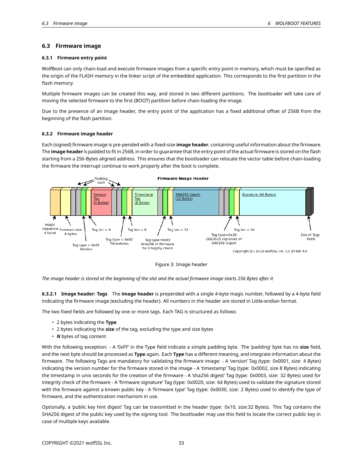## **6.3 Firmware image**

#### <span id="page-32-0"></span>**6.3.1 Firmware entry point**

WolfBoot can only chain-load and execute firmware images from a specific entry point in memory, which must be specified as the origin of the FLASH memory in the linker script of the embedded application. This corresponds to the first partition in the flash memory.

Multiple firmware images can be created this way, and stored in two different partitions. The bootloader will take care of moving the selected firmware to the first (BOOT) partition before chain-loading the image.

Due to the presence of an image header, the entry point of the application has a fixed additional offset of 256B from the beginning of the flash partition.

#### <span id="page-32-1"></span>**6.3.2 Firmware image header**

Each (signed) firmware image is pre-pended with a fixed-size **image header**, containing useful information about the firmware. The **image header** is padded to fit in 256B, in order to guarantee that the entry point of the actual firmware is stored on the flash starting from a 256-Bytes aligned address. This ensures that the bootloader can relocate the vector table before chain-loading the firmware the interrupt continue to work properly after the boot is complete.



Figure 3: Image header

*The image header is stored at the beginning of the slot and the actual firmware image starts 256 Bytes after it*

**6.3.2.1 Image header: Tags** The **image header** is prepended with a single 4-byte magic number, followed by a 4-byte field indicating the firmware image (excluding the header). All numbers in the header are stored in Little-endian format.

The two fixed fields are followed by one or more tags. Each TAG is structured as follows:

- 2 bytes indicating the **Type**
- 2 bytes indicating the **size** of the tag, excluding the type and size bytes
- *N* bytes of tag content

With the following exception: - A '0xFF' in the Type field indicate a simple padding byte. The 'padding' byte has no **size** field, and the next byte should be processed as **Type** again. Each **Type** has a different meaning, and integrate information about the firmware. The following Tags are mandatory for validating the firmware image: - A 'version' Tag (type: 0x0001, size: 4 Bytes) indicating the version number for the firmware stored in the image - A 'timestamp' Tag (type: 0x0002, size 8 Bytes) indicating the timestamp in unix seconds for the creation of the firmware - A 'sha256 digest' Tag (type: 0x0003, size: 32 Bytes) used for integrity check of the firmware - A 'firmware signature' Tag (type: 0x0020, size: 64 Bytes) used to validate the signature stored with the firmware against a known public key - A 'firmware type' Tag (type: 0x0030, size: 2 Bytes) used to identify the type of firmware, and the authentication mechanism in use.

Optionally, a 'public key hint digest' Tag can be transmitted in the header (type: 0x10, size:32 Bytes). This Tag contains the SHA256 digest of the public key used by the signing tool. The bootloader may use this field to locate the correct public key in case of multiple keys available.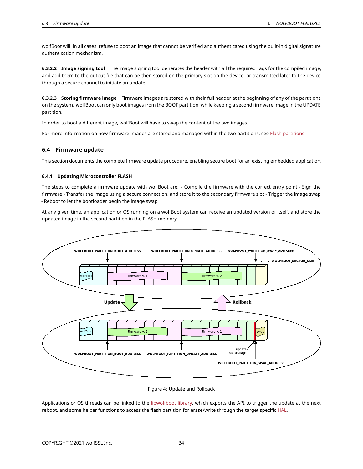wolfBoot will, in all cases, refuse to boot an image that cannot be verified and authenticated using the built-in digital signature authentication mechanism.

**6.3.2.2 Image signing tool** The image signing tool generates the header with all the required Tags for the compiled image, and add them to the output file that can be then stored on the primary slot on the device, or transmitted later to the device through a secure channel to initiate an update.

**6.3.2.3 Storing firmware image** Firmware images are stored with their full header at the beginning of any of the partitions on the system. wolfBoot can only boot images from the BOOT partition, while keeping a second firmware image in the UPDATE partition.

In order to boot a different image, wolfBoot will have to swap the content of the two images.

<span id="page-33-0"></span>For more information on how firmware images are stored and managed within the two partitions, see [Flash partitions](#page-5-2)

## **6.4 Firmware update**

<span id="page-33-1"></span>This section documents the complete firmware update procedure, enabling secure boot for an existing embedded application.

#### **6.4.1 Updating Microcontroller FLASH**

The steps to complete a firmware update with wolfBoot are: - Compile the firmware with the correct entry point - Sign the firmware - Transfer the image using a secure connection, and store it to the secondary firmware slot - Trigger the image swap - Reboot to let the bootloader begin the image swap

At any given time, an application or OS running on a wolfBoot system can receive an updated version of itself, and store the updated image in the second partition in the FLASH memory.



#### Figure 4: Update and Rollback

<span id="page-33-2"></span>Applications or OS threads can be linked to the [libwolfboot library,](#page-40-2) which exports the API to trigger the update at the next reboot, and some helper functions to access the flash partition for erase/write through the target specific [HAL.](#page-24-0)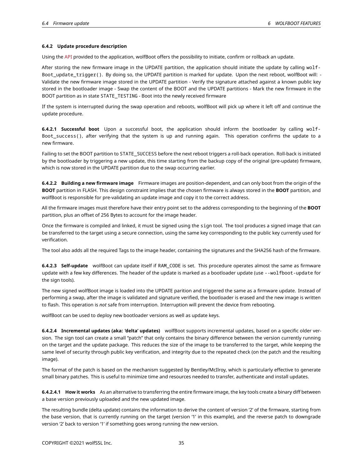#### **6.4.2 Update procedure description**

Using the [API](#page-40-2) provided to the application, wolfBoot offers the possibility to initiate, confirm or rollback an update.

After storing the new firmware image in the UPDATE partition, the application should initiate the update by calling wolf-Boot\_update\_trigger(). By doing so, the UPDATE partition is marked for update. Upon the next reboot, wolfBoot will: - Validate the new firmware image stored in the UPDATE partition - Verify the signature attached against a known public key stored in the bootloader image - Swap the content of the BOOT and the UPDATE partitions - Mark the new firmware in the BOOT partition as in state STATE\_TESTING - Boot into the newly received firmware

If the system is interrupted during the swap operation and reboots, wolfBoot will pick up where it left off and continue the update procedure.

**6.4.2.1 Successful boot** Upon a successful boot, the application should inform the bootloader by calling wolf-Boot success(), after verifying that the system is up and running again. This operation confirms the update to a new firmware.

Failing to set the BOOT partition to STATE\_SUCCESS before the next reboot triggers a roll-back operation. Roll-back is initiated by the bootloader by triggering a new update, this time starting from the backup copy of the original (pre-update) firmware, which is now stored in the UPDATE partition due to the swap occurring earlier.

**6.4.2.2 Building a new firmware image** Firmware images are position-dependent, and can only boot from the origin of the **BOOT** partition in FLASH. This design constraint implies that the chosen firmware is always stored in the **BOOT** partition, and wolfBoot is responsible for pre-validating an update image and copy it to the correct address.

All the firmware images must therefore have their entry point set to the address corresponding to the beginning of the **BOOT** partition, plus an offset of 256 Bytes to account for the image header.

Once the firmware is compiled and linked, it must be signed using the sign tool. The tool produces a signed image that can be transferred to the target using a secure connection, using the same key corresponding to the public key currently used for verification.

The tool also adds all the required Tags to the image header, containing the signatures and the SHA256 hash of the firmware.

**6.4.2.3 Self-update** wolfBoot can update itself if RAM\_CODE is set. This procedure operates almost the same as firmware update with a few key differences. The header of the update is marked as a bootloader update (use --wolfboot-update for the sign tools).

The new signed wolfBoot image is loaded into the UPDATE parition and triggered the same as a firmware update. Instead of performing a swap, after the image is validated and signature verified, the bootloader is erased and the new image is written to flash. This operation is *not* safe from interruption. Interruption will prevent the device from rebooting.

wolfBoot can be used to deploy new bootloader versions as well as update keys.

**6.4.2.4 Incremental updates (aka: 'delta' updates)** wolfBoot supports incremental updates, based on a specific older version. The sign tool can create a small "patch" that only contains the binary difference between the version currently running on the target and the update package. This reduces the size of the image to be transferred to the target, while keeping the same level of security through public key verification, and integrity due to the repeated check (on the patch and the resulting image).

The format of the patch is based on the mechanism suggested by Bentley/McIlroy, which is particularly effective to generate small binary patches. This is useful to minimize time and resources needed to transfer, authenticate and install updates.

**6.4.2.4.1 How it works** As an alternative to transferring the entire firmware image, the key tools create a binary diff between a base version previously uploaded and the new updated image.

The resulting bundle (delta update) contains the information to derive the content of version '2' of the firmware, starting from the base version, that is currently running on the target (version '1' in this example), and the reverse patch to downgrade version '2' back to version '1' if something goes wrong running the new version.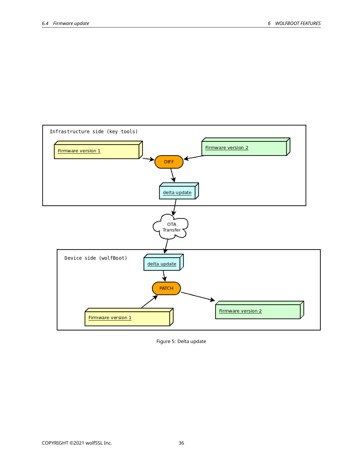

Figure 5: Delta update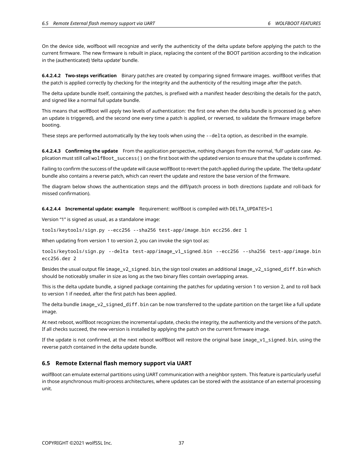On the device side, wolfboot will recognize and verify the authenticity of the delta update before applying the patch to the current firmware. The new firmware is rebuilt in place, replacing the content of the BOOT partition according to the indication in the (authenticated) 'delta update' bundle.

**6.4.2.4.2 Two-steps verification** Binary patches are created by comparing signed firmware images. wolfBoot verifies that the patch is applied correctly by checking for the integrity and the authenticity of the resulting image after the patch.

The delta update bundle itself, containing the patches, is prefixed with a manifest header describing the details for the patch, and signed like a normal full update bundle.

This means that wolfBoot will apply two levels of authentication: the first one when the delta bundle is processed (e.g. when an update is triggered), and the second one every time a patch is applied, or reversed, to validate the firmware image before booting.

These steps are performed automatically by the key tools when using the --delta option, as described in the example.

**6.4.2.4.3 Confirming the update** From the application perspective, nothing changes from the normal, 'full' update case. Application must still call wolfBoot\_success() on the first boot with the updated version to ensure that the update is confirmed.

Failing to confirm the success of the update will cause wolfBoot to revert the patch applied during the update. The 'delta update' bundle also contains a reverse patch, which can revert the update and restore the base version of the firmware.

The diagram below shows the authentication steps and the diff/patch process in both directions (update and roll-back for missed confirmation).

**6.4.2.4.4 Incremental update: example** Requirement: wolfBoot is compiled with DELTA\_UPDATES=1

Version "1" is signed as usual, as a standalone image:

tools/keytools/sign.py --ecc256 --sha256 test-app/image.bin ecc256.der 1

When updating from version 1 to version 2, you can invoke the sign tool as:

tools/keytools/sign.py --delta test-app/image\_v1\_signed.bin --ecc256 --sha256 test-app/image.bin ecc256.der 2

Besides the usual output file image\_v2\_signed.bin, the sign tool creates an additional image\_v2\_signed\_diff.bin which should be noticeably smaller in size as long as the two binary files contain overlapping areas.

This is the delta update bundle, a signed package containing the patches for updating version 1 to version 2, and to roll back to version 1 if needed, after the first patch has been applied.

The delta bundle image\_v2\_signed\_diff.bin can be now transferred to the update partition on the target like a full update image.

At next reboot, wolfBoot recognizes the incremental update, checks the integrity, the authenticity and the versions of the patch. If all checks succeed, the new version is installed by applying the patch on the current firmware image.

If the update is not confirmed, at the next reboot wolfBoot will restore the original base image  $v1$  signed.bin, using the reverse patch contained in the delta update bundle.

## <span id="page-36-0"></span>**6.5 Remote External flash memory support via UART**

<span id="page-36-1"></span>wolfBoot can emulate external partitions using UART communication with a neighbor system. This feature is particularly useful in those asynchronous multi-process architectures, where updates can be stored with the assistance of an external processing unit.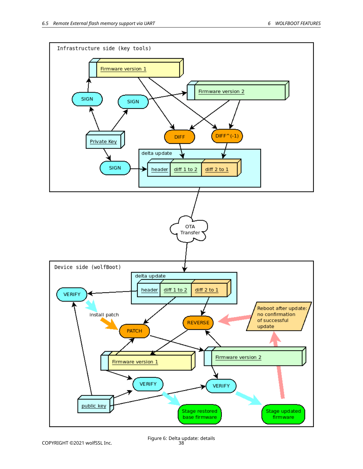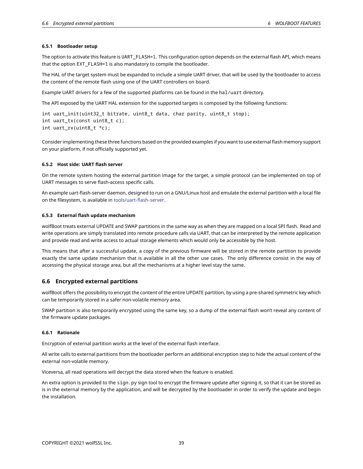#### **6.5.1 Bootloader setup**

The option to activate this feature is UART\_FLASH=1. This configuration option depends on the external flash API, which means that the option EXT\_FLASH=1 is also mandatory to compile the bootloader.

The HAL of the target system must be expanded to include a simple UART driver, that will be used by the bootloader to access the content of the remote flash using one of the UART controllers on board.

Example UART drivers for a few of the supported platforms can be found in the hal/uart directory.

The API exposed by the UART HAL extension for the supported targets is composed by the following functions:

int uart\_init(uint32\_t bitrate, uint8\_t data, char parity, uint8\_t stop); int uart\_tx(const uint8\_t c); int uart\_rx(uint8\_t \*c);

Consider implementing these three functions based on the provided examples if you want to use external flash memory support on your platform, if not officially supported yet.

#### <span id="page-38-0"></span>**6.5.2 Host side: UART flash server**

On the remote system hosting the external partition image for the target, a simple protocol can be implemented on top of UART messages to serve flash-access specific calls.

An example uart-flash-server daemon, designed to run on a GNU/Linux host and emulate the external partition with a local file on the filesystem, is available in [tools/uart-flash-server.](tools/uart-flash-server)

#### <span id="page-38-1"></span>**6.5.3 External flash update mechanism**

wolfBoot treats external UPDATE and SWAP partitions in the same way as when they are mapped on a local SPI flash. Read and write operations are simply translated into remote procedure calls via UART, that can be interpreted by the remote application and provide read and write access to actual storage elements which would only be accessible by the host.

This means that after a successful update, a copy of the previous firmware will be stored in the remote partition to provide exactly the same update mechanism that is available in all the other use cases. The only difference consist in the way of accessing the physical storage area, but all the mechanisms at a higher level stay the same.

#### <span id="page-38-2"></span>**6.6 Encrypted external partitions**

wolfBoot offers the possibility to encrypt the content of the entire UPDATE partition, by using a pre-shared symmetric key which can be temporarily stored in a safer non-volatile memory area.

SWAP partition is also temporarily encrypted using the same key, so a dump of the external flash won't reveal any content of the firmware update packages.

#### <span id="page-38-3"></span>**6.6.1 Rationale**

Encryption of external partition works at the level of the external flash interface.

All write calls to external partitions from the bootloader perform an additional encryption step to hide the actual content of the external non-volatile memory.

Viceversa, all read operations will decrypt the data stored when the feature is enabled.

<span id="page-38-4"></span>An extra option is provided to the sign.py sign tool to encrypt the firmware update after signing it, so that it can be stored as is in the external memory by the application, and will be decrypted by the bootloader in order to verify the update and begin the installation.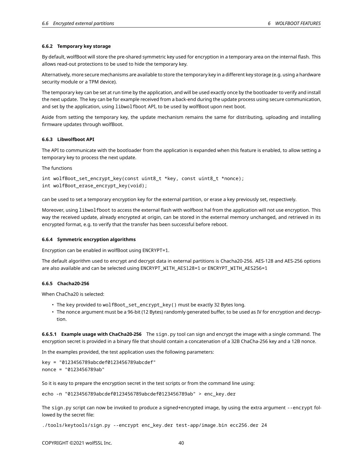#### **6.6.2 Temporary key storage**

By default, wolfBoot will store the pre-shared symmetric key used for encryption in a temporary area on the internal flash. This allows read-out protections to be used to hide the temporary key.

Alternatively, more secure mechanisms are available to store the temporary key in a different key storage (e.g. using a hardware security module or a TPM device).

The temporary key can be set at run time by the application, and will be used exactly once by the bootloader to verify and install the next update. The key can be for example received from a back-end during the update process using secure communication, and set by the application, using libwolfboot API, to be used by wolfBoot upon next boot.

Aside from setting the temporary key, the update mechanism remains the same for distributing, uploading and installing firmware updates through wolfBoot.

#### <span id="page-39-0"></span>**6.6.3 Libwolfboot API**

The API to communicate with the bootloader from the application is expanded when this feature is enabled, to allow setting a temporary key to process the next update.

The functions

```
int wolfBoot_set_encrypt_key(const uint8_t *key, const uint8_t *nonce);
int wolfBoot_erase_encrypt_key(void);
```
can be used to set a temporary encryption key for the external partition, or erase a key previously set, respectively.

Moreover, using libwolfboot to access the external flash with wolfboot hal from the application will not use encryption. This way the received update, already encrypted at origin, can be stored in the external memory unchanged, and retrieved in its encrypted format, e.g. to verify that the transfer has been successful before reboot.

#### <span id="page-39-1"></span>**6.6.4 Symmetric encryption algorithms**

Encryption can be enabled in wolfBoot using ENCRYPT=1.

The default algorithm used to encrypt and decrypt data in external partitions is Chacha20-256. AES-128 and AES-256 options are also available and can be selected using ENCRYPT\_WITH\_AES128=1 or ENCRYPT\_WITH\_AES256=1

#### <span id="page-39-2"></span>**6.6.5 Chacha20-256**

When ChaCha20 is selected:

- The key provided to wolfBoot set encrypt key() must be exactly 32 Bytes long.
- The nonce argument must be a 96-bit (12 Bytes) randomly generated buffer, to be used as IV for encryption and decryption.

**6.6.5.1 Example usage with ChaCha20-256** The sign.py tool can sign and encrypt the image with a single command. The encryption secret is provided in a binary file that should contain a concatenation of a 32B ChaCha-256 key and a 12B nonce.

In the examples provided, the test application uses the following parameters:

key = "0123456789abcdef0123456789abcdef" nonce = "0123456789ab"

So it is easy to prepare the encryption secret in the test scripts or from the command line using:

echo -n "0123456789abcdef0123456789abcdef0123456789ab" > enc\_key.der

The sign.py script can now be invoked to produce a signed+encrypted image, by using the extra argument --encrypt followed by the secret file:

./tools/keytools/sign.py --encrypt enc\_key.der test-app/image.bin ecc256.der 24

COPYRIGHT ©2021 wolfSSL Inc. 40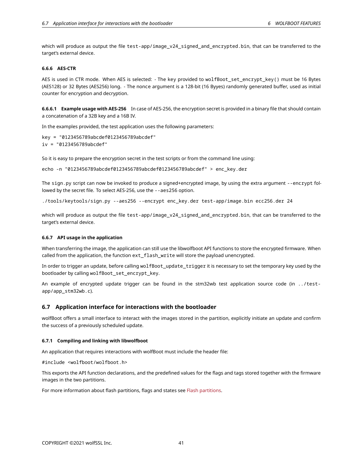which will produce as output the file test-app/image\_v24\_signed\_and\_encrypted.bin, that can be transferred to the target's external device.

### <span id="page-40-0"></span>**6.6.6 AES-CTR**

AES is used in CTR mode. When AES is selected: - The key provided to wolfBoot\_set\_encrypt\_key() must be 16 Bytes (AES128) or 32 Bytes (AES256) long. - The nonce argument is a 128-bit (16 Byyes) randomly generated buffer, used as initial counter for encryption and decryption.

**6.6.6.1 Example usage with AES-256** In case of AES-256, the encryption secret is provided in a binary file that should contain a concatenation of a 32B key and a 16B IV.

In the examples provided, the test application uses the following parameters:

```
key = "0123456789abcdef0123456789abcdef"
iv = "0123456789abcdef"
```
So it is easy to prepare the encryption secret in the test scripts or from the command line using:

```
echo -n "0123456789abcdef0123456789abcdef0123456789abcdef" > enc_key.der
```
The sign.py script can now be invoked to produce a signed+encrypted image, by using the extra argument --encrypt followed by the secret file. To select AES-256, use the --aes256 option.

./tools/keytools/sign.py --aes256 --encrypt enc\_key.der test-app/image.bin ecc256.der 24

which will produce as output the file test-app/image\_v24\_signed\_and\_encrypted.bin, that can be transferred to the target's external device.

## <span id="page-40-1"></span>**6.6.7 API usage in the application**

When transferring the image, the application can still use the libwolfboot API functions to store the encrypted firmware. When called from the application, the function ext\_flash\_write will store the payload unencrypted.

In order to trigger an update, before calling wolfBoot\_update\_trigger it is necessary to set the temporary key used by the bootloader by calling wolfBoot\_set\_encrypt\_key.

An example of encrypted update trigger can be found in the stm32wb test application source code (in ../testapp/app\_stm32wb.c).

## <span id="page-40-2"></span>**6.7 Application interface for interactions with the bootloader**

wolfBoot offers a small interface to interact with the images stored in the partition, explicitly initiate an update and confirm the success of a previously scheduled update.

#### <span id="page-40-3"></span>**6.7.1 Compiling and linking with libwolfboot**

An application that requires interactions with wolfBoot must include the header file:

#include <wolfboot/wolfboot.h>

This exports the API function declarations, and the predefined values for the flags and tags stored together with the firmware images in the two partitions.

<span id="page-40-4"></span>For more information about flash partitions, flags and states see [Flash partitions.](#page-5-2)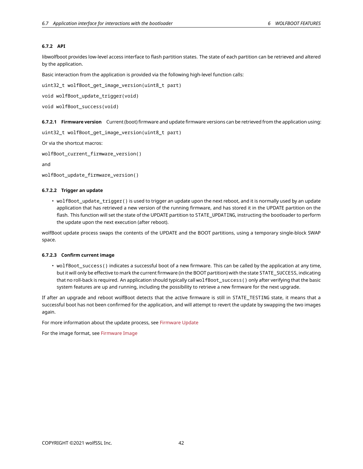## **6.7.2 API**

libwolfboot provides low-level access interface to flash partition states. The state of each partition can be retrieved and altered by the application.

Basic interaction from the application is provided via the following high-level function calls:

uint32\_t wolfBoot\_get\_image\_version(uint8\_t part)

```
void wolfBoot_update_trigger(void)
```
void wolfBoot\_success(void)

**6.7.2.1 Firmware version** Current (boot) firmware and update firmware versions can be retrieved from the application using:

```
uint32_t wolfBoot_get_image_version(uint8_t part)
```
Or via the shortcut macros:

wolfBoot\_current\_firmware\_version()

and

```
wolfBoot_update_firmware_version()
```
#### **6.7.2.2 Trigger an update**

• wolfBoot\_update\_trigger() is used to trigger an update upon the next reboot, and it is normally used by an update application that has retrieved a new version of the running firmware, and has stored it in the UPDATE partition on the flash. This function will set the state of the UPDATE partition to STATE\_UPDATING, instructing the bootloader to perform the update upon the next execution (after reboot).

wolfBoot update process swaps the contents of the UPDATE and the BOOT partitions, using a temporary single-block SWAP space.

#### **6.7.2.3 Confirm current image**

• wolfBoot\_success() indicates a successful boot of a new firmware. This can be called by the application at any time, but it will only be effective to mark the current firmware (in the BOOT partition) with the state STATE\_SUCCESS, indicating that no roll-back is required. An application should typically call wolfBoot\_success() only after verifying that the basic system features are up and running, including the possibility to retrieve a new firmware for the next upgrade.

If after an upgrade and reboot wolfBoot detects that the active firmware is still in STATE\_TESTING state, it means that a successful boot has not been confirmed for the application, and will attempt to revert the update by swapping the two images again.

For more information about the update process, see [Firmware Update](#page-33-0)

<span id="page-41-0"></span>For the image format, see [Firmware Image](#page-31-1)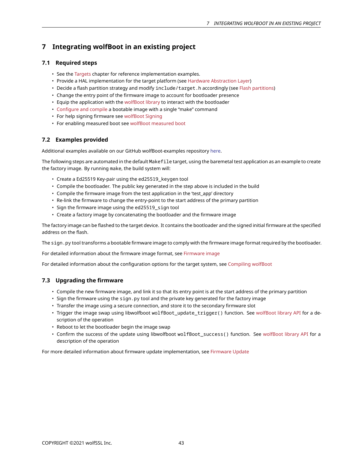# **7 Integrating wolfBoot in an existing project**

## <span id="page-42-0"></span>**7.1 Required steps**

- See the [Targets](#page-9-2) chapter for reference implementation examples.
- Provide a HAL implementation for the target platform (see [Hardware Abstraction Layer\)](#page-24-0)
- Decide a flash partition strategy and modify include/target.h accordingly (see [Flash partitions\)](#page-5-2)
- Change the entry point of the firmware image to account for bootloader presence
- Equip the application with the [wolfBoot library](#page-40-2) to interact with the bootloader
- [Configure and compile](#page-4-0) a bootable image with a single "make" command
- For help signing firmware see [wolfBoot Signing](#page-21-4)
- For enabling measured boot see wolfBoot measured boot

## <span id="page-42-1"></span>**7.2 Examples provided**

Additional examples available on our GitHub wolfBoot-examples repository [here](https://github.com/wolfSSL/wolfBoot-examples).

The following steps are automated in the default Makefile target, using the baremetal test application as an example to create the factory image. By running make, the build system will:

- Create a Ed25519 Key-pair using the ed25519\_keygen tool
- Compile the bootloader. The public key generated in the step above is included in the build
- Compile the firmware image from the test application in the 'test\_app' directory
- Re-link the firmware to change the entry-point to the start address of the primary partition
- Sign the firmware image using the ed25519\_sign tool
- Create a factory image by concatenating the bootloader and the firmware image

The factory image can be flashed to the target device. It contains the bootloader and the signed initial firmware at the specified address on the flash.

The sign.py tool transforms a bootable firmware image to comply with the firmware image format required by the bootloader.

For detailed information about the firmware image format, see [Firmware image](#page-31-1)

<span id="page-42-2"></span>For detailed information about the configuration options for the target system, see [Compiling wolfBoot](#page-4-0)

## **7.3 Upgrading the firmware**

- Compile the new firmware image, and link it so that its entry point is at the start address of the primary partition
- Sign the firmware using the sign.py tool and the private key generated for the factory image
- Transfer the image using a secure connection, and store it to the secondary firmware slot
- Trigger the image swap using libwolfboot wolfBoot\_update\_trigger() function. See [wolfBoot library API](#page-40-2) for a description of the operation
- Reboot to let the bootloader begin the image swap
- Confirm the success of the update using libwolfboot wolfBoot\_success() function. See [wolfBoot library API](#page-40-2) for a description of the operation

<span id="page-42-3"></span>For more detailed information about firmware update implementation, see [Firmware Update](#page-33-0)